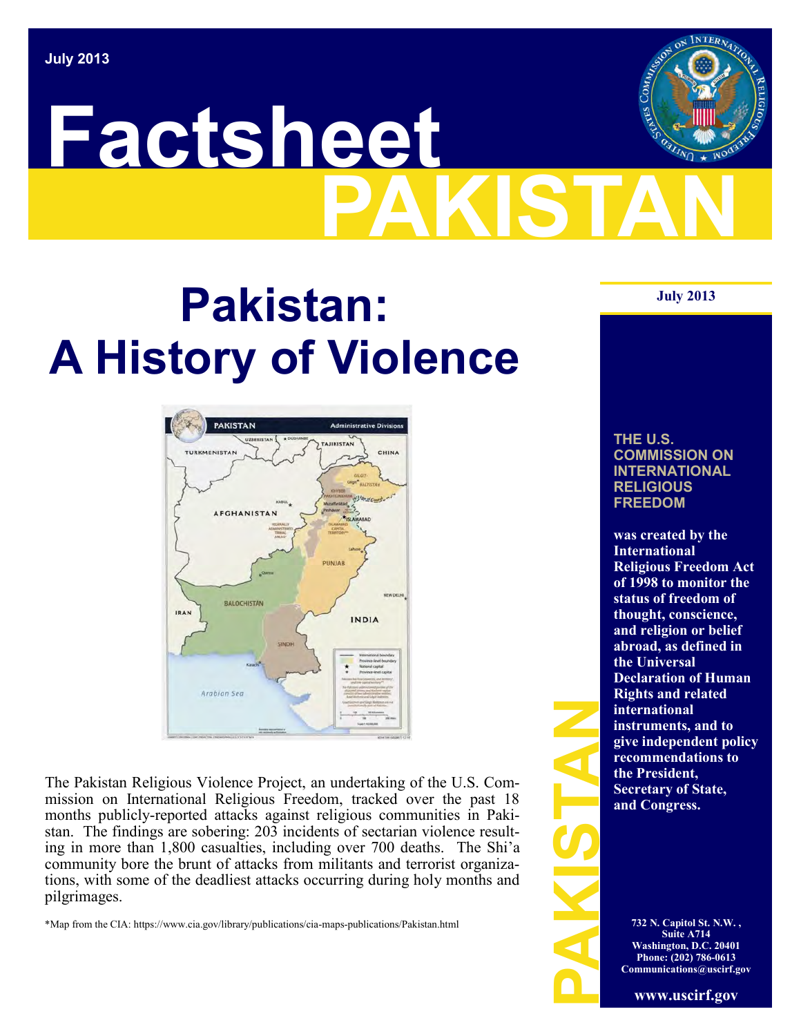# **PAKISTAN Factsheet**

## **July 2013 Pakistan: A History of Violence**

**PAKISTAN TURKMENISTAN AFGHANISTAN BALOCHISTÁN IRAN INDIA** Arabian Sea

The Pakistan Religious Violence Project, an undertaking of the U.S. Commission on International Religious Freedom, tracked over the past 18 months publicly-reported attacks against religious communities in Pakistan. The findings are sobering: 203 incidents of sectarian violence resulting in more than 1,800 casualties, including over 700 deaths. The Shi'a community bore the brunt of attacks from militants and terrorist organizations, with some of the deadliest attacks occurring during holy months and pilgrimages.

\*Map from the CIA: https://www.cia.gov/library/publications/cia-maps-publications/Pakistan.html

**THE U.S. COMMISSION ON INTERNATIONAL RELIGIOUS FREEDOM**

INTERNA:

FREE SECTION 13.<br>
PARTICLE CONTROLLER<br>
PARTICLE CONTROLLER<br>
PARTICLE CONTROLLER<br>
PARTICLE CONTROLLER<br>
WE CONTROLLER **was created by the International Religious Freedom Act of 1998 to monitor the status of freedom of thought, conscience, and religion or belief abroad, as defined in the Universal Declaration of Human Rights and related international instruments, and to give independent policy recommendations to the President, Secretary of State, and Congress.** 

**732 N. Capitol St. N.W. , Suite A714 Washington, D.C. 20401 Phone: (202) 786-0613 Communications@uscirf.gov**

**www.uscirf.gov**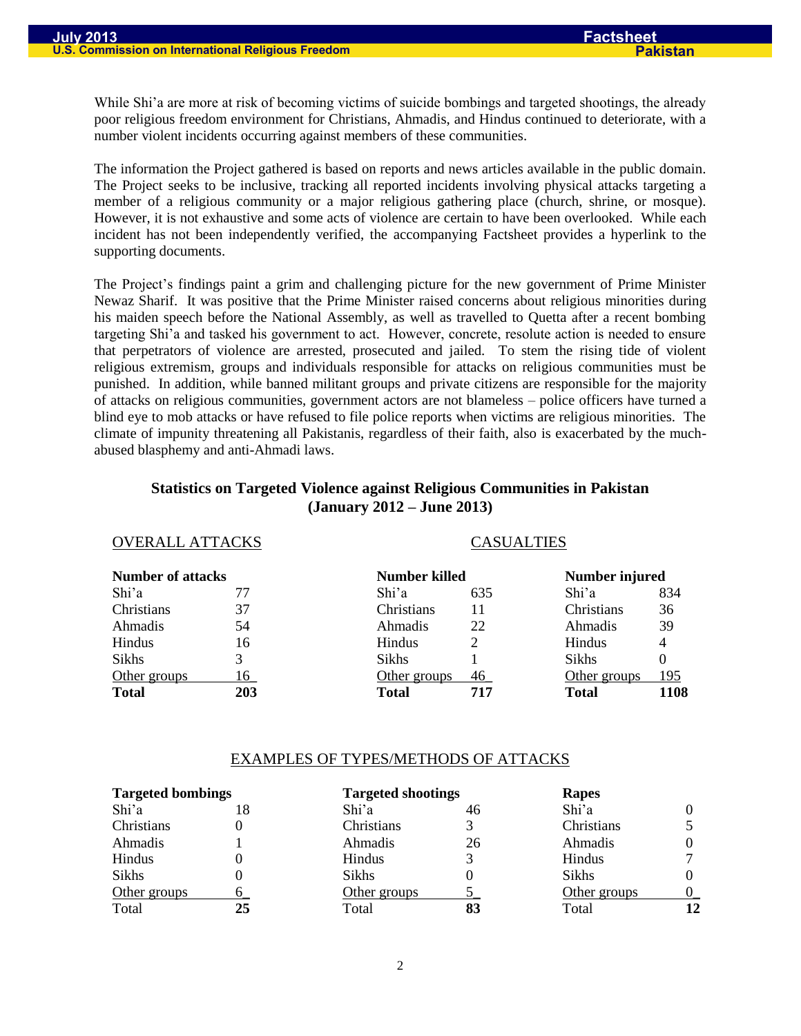While Shi'a are more at risk of becoming victims of suicide bombings and targeted shootings, the already poor religious freedom environment for Christians, Ahmadis, and Hindus continued to deteriorate, with a number violent incidents occurring against members of these communities.

The information the Project gathered is based on reports and news articles available in the public domain. The Project seeks to be inclusive, tracking all reported incidents involving physical attacks targeting a member of a religious community or a major religious gathering place (church, shrine, or mosque). However, it is not exhaustive and some acts of violence are certain to have been overlooked. While each incident has not been independently verified, the accompanying Factsheet provides a hyperlink to the supporting documents.

The Project's findings paint a grim and challenging picture for the new government of Prime Minister Newaz Sharif. It was positive that the Prime Minister raised concerns about religious minorities during his maiden speech before the National Assembly, as well as travelled to Quetta after a recent bombing targeting Shi'a and tasked his government to act. However, concrete, resolute action is needed to ensure that perpetrators of violence are arrested, prosecuted and jailed. To stem the rising tide of violent religious extremism, groups and individuals responsible for attacks on religious communities must be punished. In addition, while banned militant groups and private citizens are responsible for the majority of attacks on religious communities, government actors are not blameless – police officers have turned a blind eye to mob attacks or have refused to file police reports when victims are religious minorities. The climate of impunity threatening all Pakistanis, regardless of their faith, also is exacerbated by the muchabused blasphemy and anti-Ahmadi laws.

#### **Statistics on Targeted Violence against Religious Communities in Pakistan (January 2012 – June 2013)**

OVERALL ATTACKS CASUALTIES

| UVEKALL ATTAUNS          |              |     |                   |             |  |  |
|--------------------------|--------------|-----|-------------------|-------------|--|--|
| <b>Number of attacks</b> |              |     | Number injured    |             |  |  |
| 77                       | Shi'a        | 635 | Shi'a             | 834         |  |  |
| 37                       | Christians   | 11  | <b>Christians</b> | 36          |  |  |
| 54                       | Ahmadis      | 22  | Ahmadis           | 39          |  |  |
| 16                       | Hindus       | 2   | <b>Hindus</b>     | 4           |  |  |
|                          | <b>Sikhs</b> |     | <b>Sikhs</b>      |             |  |  |
| 16                       | Other groups | 46  | Other groups      | 195         |  |  |
| 203                      | Total        | 717 | <b>Total</b>      | 1108        |  |  |
|                          |              |     | Number killed     | CASUALI IES |  |  |

#### EXAMPLES OF TYPES/METHODS OF ATTACKS

| <b>Targeted bombings</b> |    | <b>Targeted shootings</b> | Rapes |              |    |
|--------------------------|----|---------------------------|-------|--------------|----|
| Shi'a                    | 18 | Shi'a                     | 46    | Shi'a        |    |
| Christians               |    | Christians                |       | Christians   |    |
| Ahmadis                  |    | Ahmadis                   | 26    | Ahmadis      |    |
| Hindus                   |    | Hindus                    |       | Hindus       |    |
| Sikhs                    |    | <b>Sikhs</b>              |       | <b>Sikhs</b> |    |
| Other groups             |    | Other groups              |       | Other groups |    |
| Total                    | 25 | Total                     | 83    | Total        | 12 |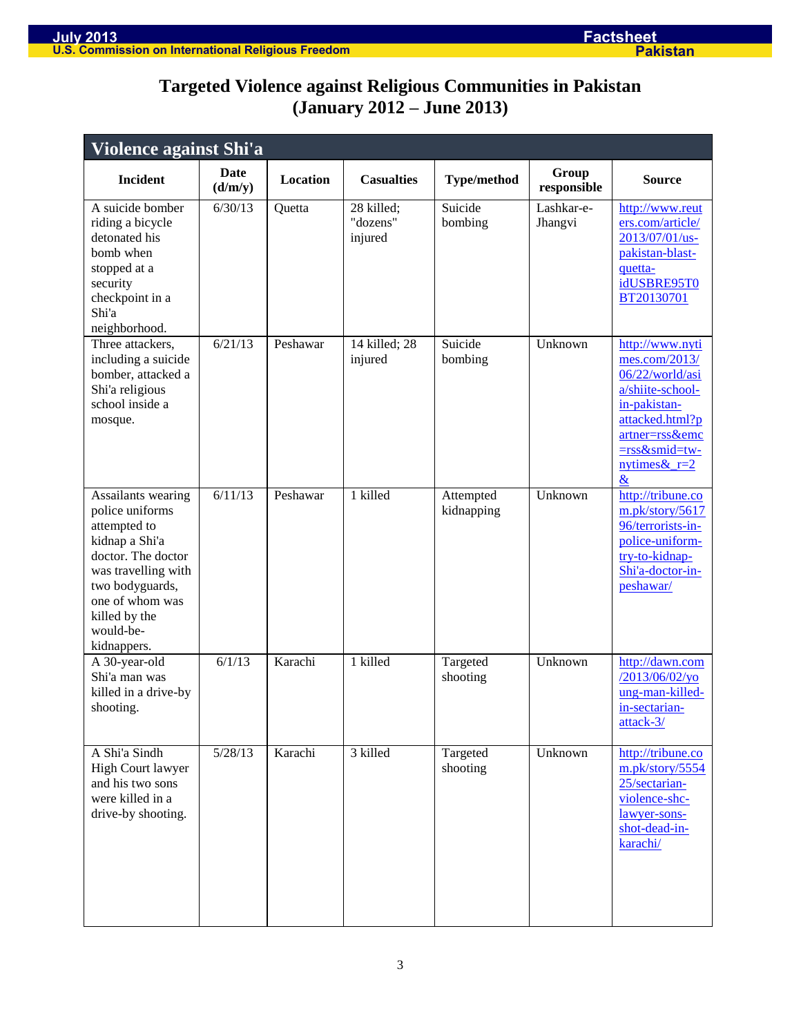### **Targeted Violence against Religious Communities in Pakistan (January 2012 – June 2013)**

| Violence against Shi'a                                                                                                                                                                                  |                        |          |                                   |                         |                       |                                                                                                                                                                                  |  |
|---------------------------------------------------------------------------------------------------------------------------------------------------------------------------------------------------------|------------------------|----------|-----------------------------------|-------------------------|-----------------------|----------------------------------------------------------------------------------------------------------------------------------------------------------------------------------|--|
| <b>Incident</b>                                                                                                                                                                                         | <b>Date</b><br>(d/m/y) | Location | <b>Casualties</b>                 | <b>Type/method</b>      | Group<br>responsible  | <b>Source</b>                                                                                                                                                                    |  |
| A suicide bomber<br>riding a bicycle<br>detonated his<br>bomb when<br>stopped at a<br>security<br>checkpoint in a<br>Shi'a<br>neighborhood.                                                             | 6/30/13                | Quetta   | 28 killed;<br>"dozens"<br>injured | Suicide<br>bombing      | Lashkar-e-<br>Jhangvi | http://www.reut<br>ers.com/article/<br>2013/07/01/us-<br>pakistan-blast-<br>quetta-<br>idUSBRE95T0<br>BT20130701                                                                 |  |
| Three attackers,<br>including a suicide<br>bomber, attacked a<br>Shi'a religious<br>school inside a<br>mosque.                                                                                          | 6/21/13                | Peshawar | 14 killed; 28<br>injured          | Suicide<br>bombing      | Unknown               | http://www.nyti<br>mes.com/2013/<br>06/22/world/asi<br>a/shiite-school-<br>in-pakistan-<br>attacked.html?p<br>artner=rss&emc<br>=rss∣=tw-<br>nytimes & $r=2$<br>$\underline{\&}$ |  |
| Assailants wearing<br>police uniforms<br>attempted to<br>kidnap a Shi'a<br>doctor. The doctor<br>was travelling with<br>two bodyguards,<br>one of whom was<br>killed by the<br>would-be-<br>kidnappers. | 6/11/13                | Peshawar | 1 killed                          | Attempted<br>kidnapping | Unknown               | http://tribune.co<br>m.pk/story/5617<br>96/terrorists-in-<br>police-uniform-<br>try-to-kidnap-<br>Shi'a-doctor-in-<br>peshawar/                                                  |  |
| A 30-year-old<br>Shi'a man was<br>killed in a drive-by<br>shooting.                                                                                                                                     | 6/1/13                 | Karachi  | 1 killed                          | Targeted<br>shooting    | Unknown               | http://dawn.com<br>/2013/06/02/yo<br>ung-man-killed-<br>in-sectarian-<br>attack-3/                                                                                               |  |
| A Shi'a Sindh<br><b>High Court lawyer</b><br>and his two sons<br>were killed in a<br>drive-by shooting.                                                                                                 | 5/28/13                | Karachi  | 3 killed                          | Targeted<br>shooting    | Unknown               | http://tribune.co<br>m.pk/story/5554<br>25/sectarian-<br>violence-shc-<br>lawyer-sons-<br>shot-dead-in-<br>karachi/                                                              |  |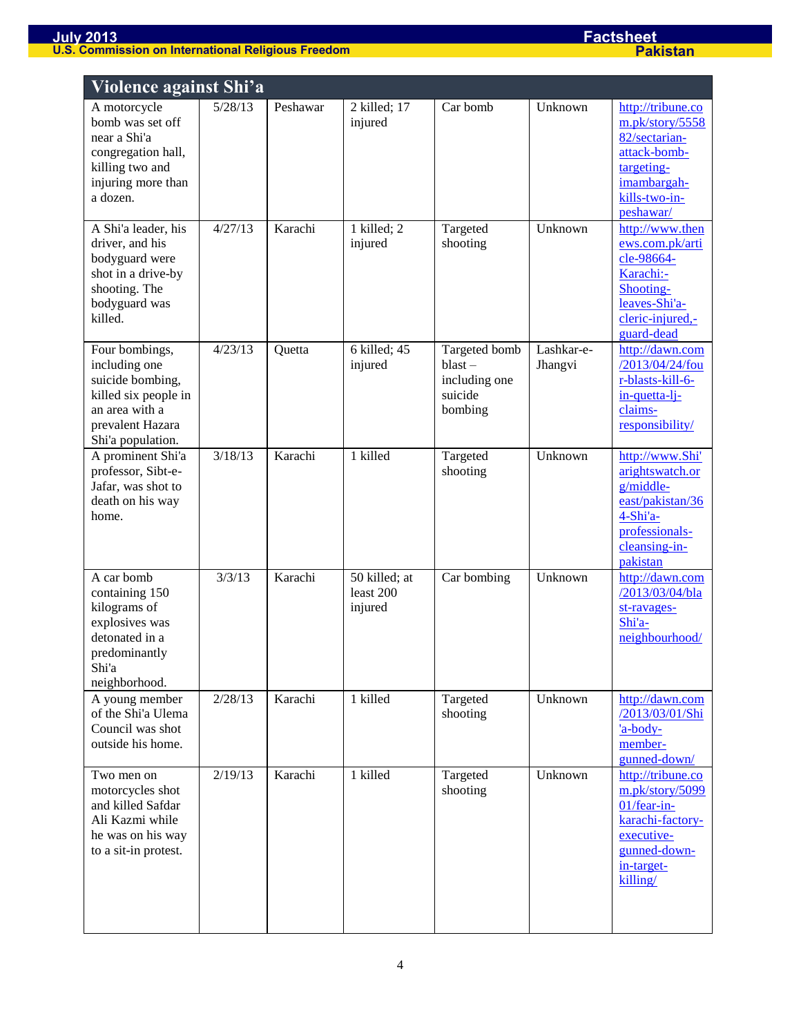| <b>Violence against Shi'a</b>                                                                                                          |                   |          |                                       |                                                                   |                       |                                                                                                                                  |
|----------------------------------------------------------------------------------------------------------------------------------------|-------------------|----------|---------------------------------------|-------------------------------------------------------------------|-----------------------|----------------------------------------------------------------------------------------------------------------------------------|
| A motorcycle<br>bomb was set off<br>near a Shi'a<br>congregation hall,<br>killing two and<br>injuring more than<br>a dozen.            | 5/28/13           | Peshawar | 2 killed; 17<br>injured               | Car bomb                                                          | Unknown               | http://tribune.co<br>m.pk/story/5558<br>82/sectarian-<br>attack-bomb-<br>targeting-<br>imambargah-<br>kills-two-in-<br>peshawar/ |
| A Shi'a leader, his<br>driver, and his<br>bodyguard were<br>shot in a drive-by<br>shooting. The<br>bodyguard was<br>killed.            | $\frac{1}{27/13}$ | Karachi  | 1 killed; 2<br>injured                | Targeted<br>shooting                                              | Unknown               | http://www.then<br>ews.com.pk/arti<br>cle-98664-<br>Karachi:-<br>Shooting-<br>leaves-Shi'a-<br>cleric-injured,-<br>guard-dead    |
| Four bombings,<br>including one<br>suicide bombing,<br>killed six people in<br>an area with a<br>prevalent Hazara<br>Shi'a population. | 4/23/13           | Quetta   | 6 killed; 45<br>injured               | Targeted bomb<br>$blast -$<br>including one<br>suicide<br>bombing | Lashkar-e-<br>Jhangvi | http://dawn.com<br>/2013/04/24/fou<br>r-blasts-kill-6-<br>in-quetta-li-<br>claims-<br>responsibility/                            |
| A prominent Shi'a<br>professor, Sibt-e-<br>Jafar, was shot to<br>death on his way<br>home.                                             | 3/18/13           | Karachi  | 1 killed                              | Targeted<br>shooting                                              | Unknown               | http://www.Shi'<br>arightswatch.or<br>g/middle-<br>east/pakistan/36<br>4-Shi'a-<br>professionals-<br>cleansing-in-<br>pakistan   |
| A car bomb<br>containing 150<br>kilograms of<br>explosives was<br>detonated in a<br>predominantly<br>Shi'a<br>neighborhood.            | 3/3/13            | Karachi  | 50 killed; at<br>least 200<br>injured | Car bombing                                                       | Unknown               | http://dawn.com<br>/2013/03/04/bla<br>st-ravages-<br>Shi'a-<br>neighbourhood/                                                    |
| A young member<br>of the Shi'a Ulema<br>Council was shot<br>outside his home.                                                          | 2/28/13           | Karachi  | 1 killed                              | Targeted<br>shooting                                              | Unknown               | http://dawn.com<br>/2013/03/01/Shi<br>'a-body-<br>member-<br>gunned-down/                                                        |
| Two men on<br>motorcycles shot<br>and killed Safdar<br>Ali Kazmi while<br>he was on his way<br>to a sit-in protest.                    | 2/19/13           | Karachi  | 1 killed                              | Targeted<br>shooting                                              | Unknown               | http://tribune.co<br>m.pk/story/5099<br>01/fear-in-<br>karachi-factory-<br>executive-<br>gunned-down-<br>in-target-<br>killing/  |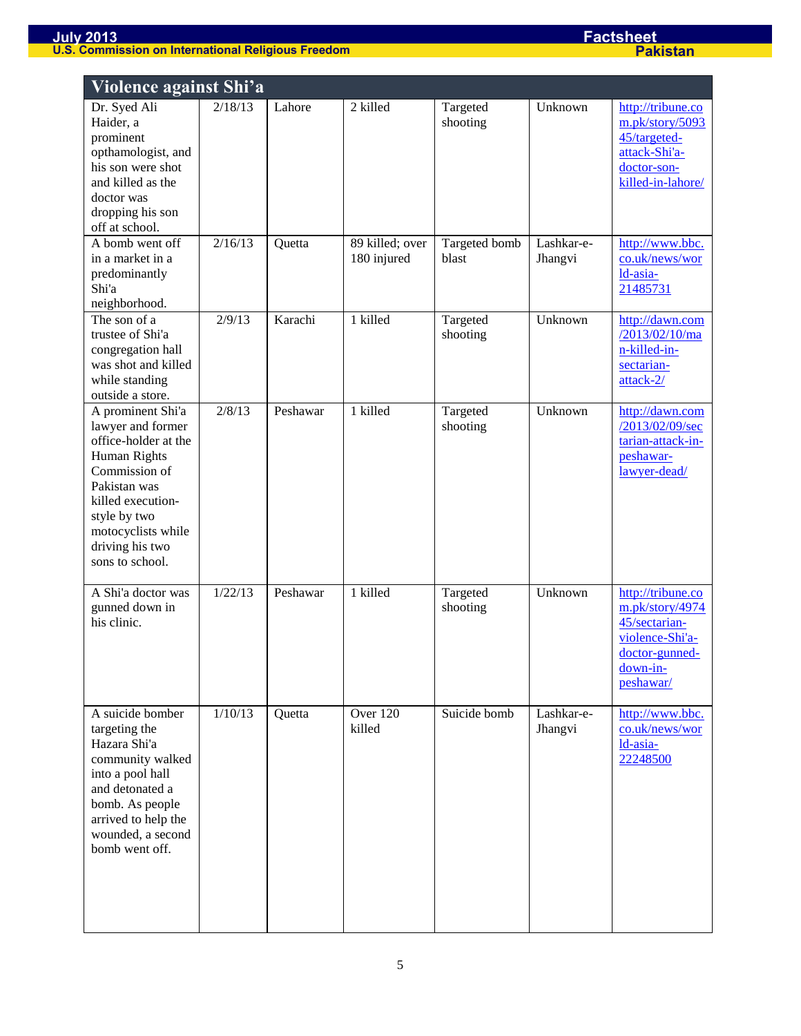| Violence against Shi'a                                                                                                                                                                                           |         |          |                                |                        |                       |                                                                                                                     |
|------------------------------------------------------------------------------------------------------------------------------------------------------------------------------------------------------------------|---------|----------|--------------------------------|------------------------|-----------------------|---------------------------------------------------------------------------------------------------------------------|
| Dr. Syed Ali<br>Haider, a<br>prominent<br>opthamologist, and<br>his son were shot<br>and killed as the<br>doctor was<br>dropping his son<br>off at school.                                                       | 2/18/13 | Lahore   | 2 killed                       | Targeted<br>shooting   | Unknown               | http://tribune.co<br>m.pk/story/5093<br>45/targeted-<br>attack-Shi'a-<br>doctor-son-<br>killed-in-lahore/           |
| A bomb went off<br>in a market in a<br>predominantly<br>Shi'a<br>neighborhood.                                                                                                                                   | 2/16/13 | Quetta   | 89 killed; over<br>180 injured | Targeted bomb<br>blast | Lashkar-e-<br>Jhangvi | http://www.bbc.<br>co.uk/news/wor<br>ld-asia-<br>21485731                                                           |
| The son of a<br>trustee of Shi'a<br>congregation hall<br>was shot and killed<br>while standing<br>outside a store.                                                                                               | 2/9/13  | Karachi  | 1 killed                       | Targeted<br>shooting   | Unknown               | http://dawn.com<br>/2013/02/10/ma<br>n-killed-in-<br>sectarian-<br>attack-2/                                        |
| A prominent Shi'a<br>lawyer and former<br>office-holder at the<br>Human Rights<br>Commission of<br>Pakistan was<br>killed execution-<br>style by two<br>motocyclists while<br>driving his two<br>sons to school. | 2/8/13  | Peshawar | 1 killed                       | Targeted<br>shooting   | Unknown               | http://dawn.com<br>/2013/02/09/sec<br>tarian-attack-in-<br>peshawar-<br>lawyer-dead/                                |
| A Shi'a doctor was<br>gunned down in<br>his clinic.                                                                                                                                                              | 1/22/13 | Peshawar | 1 killed                       | Targeted<br>shooting   | Unknown               | http://tribune.co<br>m.pk/story/4974<br>45/sectarian-<br>violence-Shi'a-<br>doctor-gunned-<br>down-in-<br>peshawar/ |
| A suicide bomber<br>targeting the<br>Hazara Shi'a<br>community walked<br>into a pool hall<br>and detonated a<br>bomb. As people<br>arrived to help the<br>wounded, a second<br>bomb went off.                    | 1/10/13 | Quetta   | Over 120<br>killed             | Suicide bomb           | Lashkar-e-<br>Jhangvi | http://www.bbc.<br>co.uk/news/wor<br>ld-asia-<br>22248500                                                           |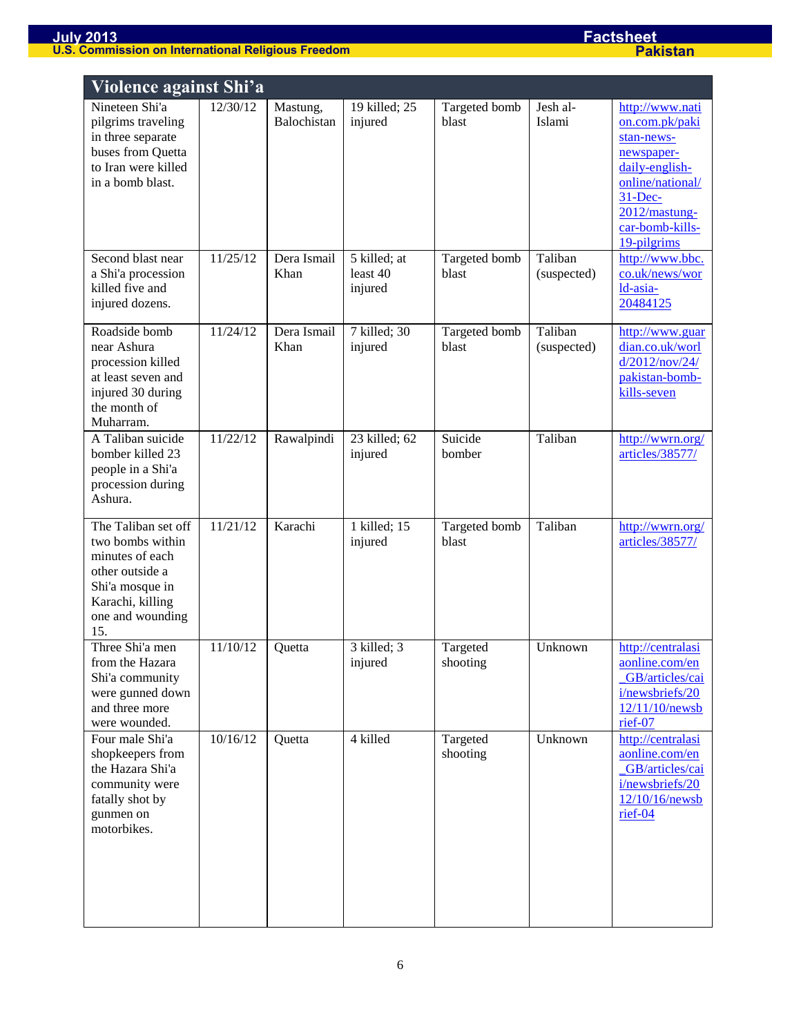| Violence against Shi'a                                                                                                                          |          |                         |                                     |                        |                        |                                                                                                                                                                       |
|-------------------------------------------------------------------------------------------------------------------------------------------------|----------|-------------------------|-------------------------------------|------------------------|------------------------|-----------------------------------------------------------------------------------------------------------------------------------------------------------------------|
| Nineteen Shi'a<br>pilgrims traveling<br>in three separate<br>buses from Quetta<br>to Iran were killed<br>in a bomb blast.                       | 12/30/12 | Mastung,<br>Balochistan | 19 killed; 25<br>injured            | Targeted bomb<br>blast | Jesh al-<br>Islami     | http://www.nati<br>on.com.pk/paki<br>stan-news-<br>newspaper-<br>daily-english-<br>online/national/<br>$31 - Dec-$<br>2012/mastung-<br>car-bomb-kills-<br>19-pilgrims |
| Second blast near<br>a Shi'a procession<br>killed five and<br>injured dozens.                                                                   | 11/25/12 | Dera Ismail<br>Khan     | 5 killed; at<br>least 40<br>injured | Targeted bomb<br>blast | Taliban<br>(suspected) | http://www.bbc.<br>co.uk/news/wor<br>ld-asia-<br>20484125                                                                                                             |
| Roadside bomb<br>near Ashura<br>procession killed<br>at least seven and<br>injured 30 during<br>the month of<br>Muharram.                       | 11/24/12 | Dera Ismail<br>Khan     | 7 killed; 30<br>injured             | Targeted bomb<br>blast | Taliban<br>(suspected) | http://www.guar<br>dian.co.uk/worl<br>d/2012/nov/24/<br>pakistan-bomb-<br>kills-seven                                                                                 |
| A Taliban suicide<br>bomber killed 23<br>people in a Shi'a<br>procession during<br>Ashura.                                                      | 11/22/12 | Rawalpindi              | 23 killed; 62<br>injured            | Suicide<br>bomber      | Taliban                | http://wwrn.org/<br>articles/38577/                                                                                                                                   |
| The Taliban set off<br>two bombs within<br>minutes of each<br>other outside a<br>Shi'a mosque in<br>Karachi, killing<br>one and wounding<br>15. | 11/21/12 | Karachi                 | 1 killed; 15<br>injured             | Targeted bomb<br>blast | Taliban                | http://wwrn.org/<br>articles/38577/                                                                                                                                   |
| Three Shi'a men<br>from the Hazara<br>Shi'a community<br>were gunned down<br>and three more<br>were wounded.                                    | 11/10/12 | Quetta                  | 3 killed; 3<br>injured              | Targeted<br>shooting   | Unknown                | http://centralasi<br>aonline.com/en<br>GB/articles/cai<br>i/newsbriefs/20<br>12/11/10/newsb<br>rief-07                                                                |
| Four male Shi'a<br>shopkeepers from<br>the Hazara Shi'a<br>community were<br>fatally shot by<br>gunmen on<br>motorbikes.                        | 10/16/12 | Quetta                  | 4 killed                            | Targeted<br>shooting   | Unknown                | http://centralasi<br>aonline.com/en<br>GB/articles/cai<br>i/newsbriefs/20<br>12/10/16/newsb<br>rief-04                                                                |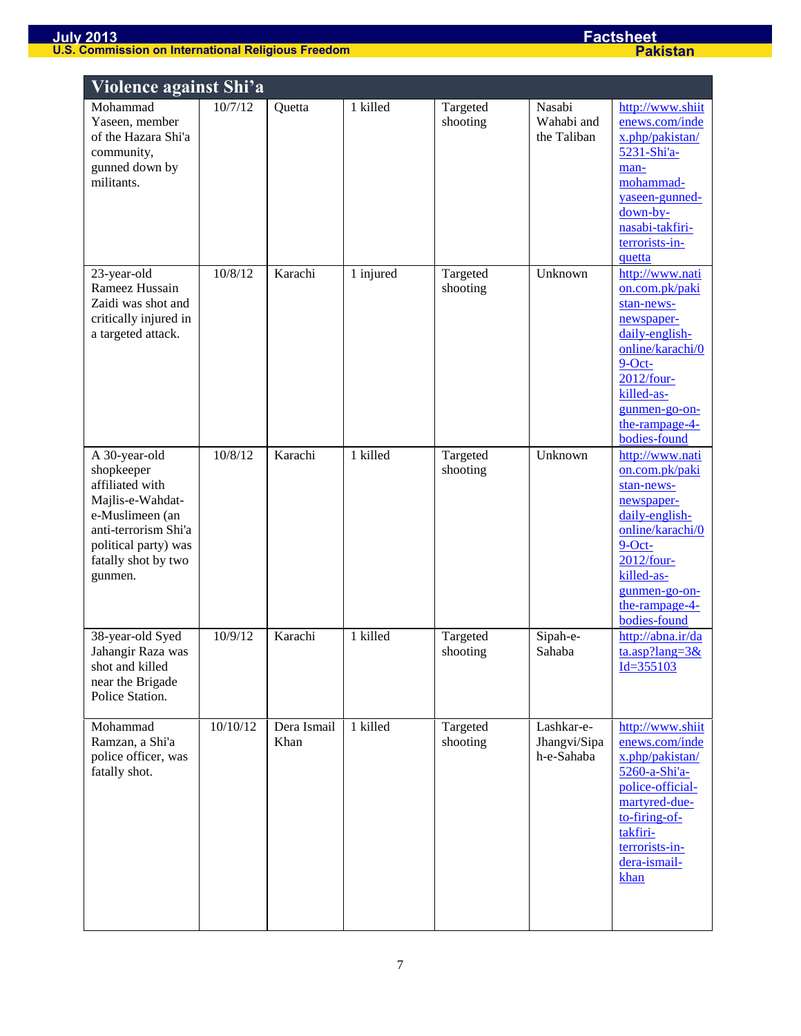|                                                                                                                                                                         | Violence against Shi'a |                     |           |                      |                                          |                                                                                                                                                                                                 |  |
|-------------------------------------------------------------------------------------------------------------------------------------------------------------------------|------------------------|---------------------|-----------|----------------------|------------------------------------------|-------------------------------------------------------------------------------------------------------------------------------------------------------------------------------------------------|--|
| Mohammad<br>Yaseen, member<br>of the Hazara Shi'a<br>community,<br>gunned down by<br>militants.                                                                         | 10/7/12                | Quetta              | 1 killed  | Targeted<br>shooting | Nasabi<br>Wahabi and<br>the Taliban      | http://www.shiit<br>enews.com/inde<br>x.php/pakistan/<br>5231-Shi'a-<br>man-<br>mohammad-<br>yaseen-gunned-<br>$down-by-$<br>nasabi-takfiri-<br>terrorists-in-<br>quetta                        |  |
| 23-year-old<br>Rameez Hussain<br>Zaidi was shot and<br>critically injured in<br>a targeted attack.                                                                      | 10/8/12                | Karachi             | 1 injured | Targeted<br>shooting | Unknown                                  | http://www.nati<br>on.com.pk/paki<br>stan-news-<br>newspaper-<br>daily-english-<br>online/karachi/0<br>$9$ -Oct-<br>2012/four-<br>killed-as-<br>gunmen-go-on-<br>the-rampage-4-<br>bodies-found |  |
| A 30-year-old<br>shopkeeper<br>affiliated with<br>Majlis-e-Wahdat-<br>e-Muslimeen (an<br>anti-terrorism Shi'a<br>political party) was<br>fatally shot by two<br>gunmen. | 10/8/12                | Karachi             | 1 killed  | Targeted<br>shooting | Unknown                                  | http://www.nati<br>on.com.pk/paki<br>stan-news-<br>newspaper-<br>daily-english-<br>online/karachi/0<br>$9$ -Oct-<br>2012/four-<br>killed-as-<br>gunmen-go-on-<br>the-rampage-4-<br>bodies-found |  |
| 38-year-old Syed<br>Jahangir Raza was<br>shot and killed<br>near the Brigade<br>Police Station.                                                                         | 10/9/12                | Karachi             | 1 killed  | Targeted<br>shooting | Sipah-e-<br>Sahaba                       | http://abna.ir/da<br>$\frac{\tan 3x}{\tan 2x}$<br>$Id = 355103$                                                                                                                                 |  |
| Mohammad<br>Ramzan, a Shi'a<br>police officer, was<br>fatally shot.                                                                                                     | 10/10/12               | Dera Ismail<br>Khan | 1 killed  | Targeted<br>shooting | Lashkar-e-<br>Jhangvi/Sipa<br>h-e-Sahaba | http://www.shiit<br>enews.com/inde<br>x.php/pakistan/<br>5260-a-Shi'a-<br>police-official-<br>martyred-due-<br>to-firing-of-<br>takfiri-<br>terrorists-in-<br>dera-ismail-<br>khan              |  |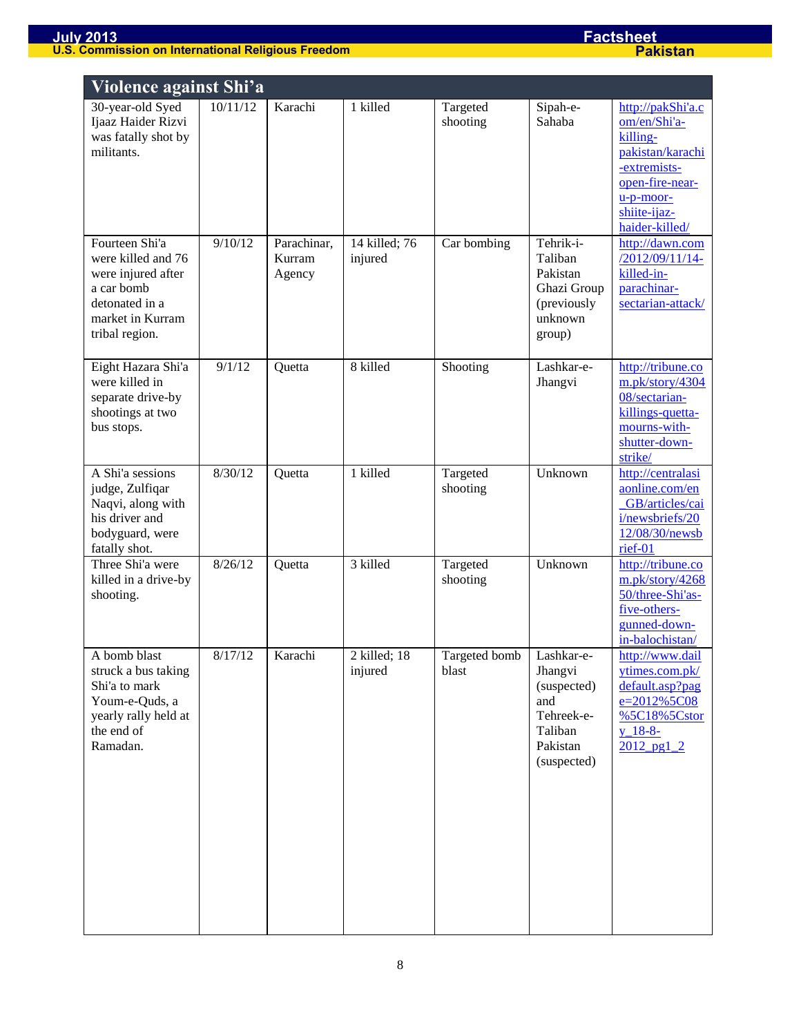|                                                                                                                                  | Violence against Shi'a |                                 |                          |                        |                                                                                                 |                                                                                                                                                       |  |  |
|----------------------------------------------------------------------------------------------------------------------------------|------------------------|---------------------------------|--------------------------|------------------------|-------------------------------------------------------------------------------------------------|-------------------------------------------------------------------------------------------------------------------------------------------------------|--|--|
| 30-year-old Syed<br>Ijaaz Haider Rizvi<br>was fatally shot by<br>militants.                                                      | 10/11/12               | Karachi                         | 1 killed                 | Targeted<br>shooting   | Sipah-e-<br>Sahaba                                                                              | http://pakShi'a.c<br>om/en/Shi'a-<br>killing-<br>pakistan/karachi<br>-extremists-<br>open-fire-near-<br>$u-p-moor-$<br>shiite-ijaz-<br>haider-killed/ |  |  |
| Fourteen Shi'a<br>were killed and 76<br>were injured after<br>a car bomb<br>detonated in a<br>market in Kurram<br>tribal region. | 9/10/12                | Parachinar,<br>Kurram<br>Agency | 14 killed; 76<br>injured | Car bombing            | Tehrik-i-<br>Taliban<br>Pakistan<br>Ghazi Group<br>(previously<br>unknown<br>group)             | http://dawn.com<br>/2012/09/11/14-<br>killed-in-<br>parachinar-<br>sectarian-attack/                                                                  |  |  |
| Eight Hazara Shi'a<br>were killed in<br>separate drive-by<br>shootings at two<br>bus stops.                                      | 9/1/12                 | Quetta                          | 8 killed                 | Shooting               | Lashkar-e-<br>Jhangvi                                                                           | http://tribune.co<br>m.pk/story/4304<br>08/sectarian-<br>killings-quetta-<br>mourns-with-<br>shutter-down-<br>strike/                                 |  |  |
| A Shi'a sessions<br>judge, Zulfiqar<br>Naqvi, along with<br>his driver and<br>bodyguard, were<br>fatally shot.                   | 8/30/12                | Quetta                          | 1 killed                 | Targeted<br>shooting   | Unknown                                                                                         | http://centralasi<br>aonline.com/en<br>GB/articles/cai<br>i/newsbriefs/20<br>12/08/30/newsb<br>rief-01                                                |  |  |
| Three Shi'a were<br>killed in a drive-by<br>shooting.                                                                            | 8/26/12                | Quetta                          | 3 killed                 | Targeted<br>shooting   | Unknown                                                                                         | http://tribune.co<br>m.pk/story/4268<br>50/three-Shi'as-<br>five-others-<br>gunned-down-<br>in-balochistan/                                           |  |  |
| A bomb blast<br>struck a bus taking<br>Shi'a to mark<br>Youm-e-Quds, a<br>yearly rally held at<br>the end of<br>Ramadan.         | 8/17/12                | Karachi                         | 2 killed; 18<br>injured  | Targeted bomb<br>blast | Lashkar-e-<br>Jhangvi<br>(suspected)<br>and<br>Tehreek-e-<br>Taliban<br>Pakistan<br>(suspected) | http://www.dail<br>ytimes.com.pk/<br>default.asp?pag<br>$e = 2012\%5C08$<br>%5C18%5Cstor<br>$y_18-8-$<br>$2012$ pg1 2                                 |  |  |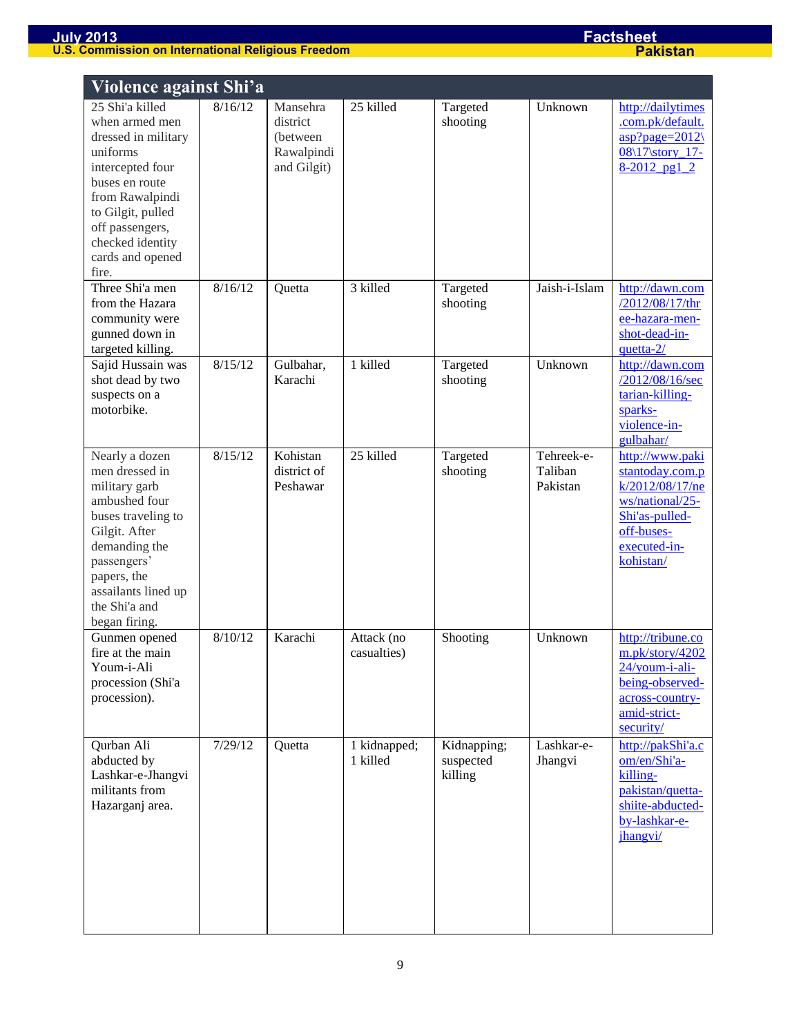| <b>Violence against Shi'a</b>                                                                                                                                                                                          |         |                                                                |                           |                                     |                                   |                                                                                                                                       |
|------------------------------------------------------------------------------------------------------------------------------------------------------------------------------------------------------------------------|---------|----------------------------------------------------------------|---------------------------|-------------------------------------|-----------------------------------|---------------------------------------------------------------------------------------------------------------------------------------|
| 25 Shi'a killed<br>when armed men<br>dressed in military<br>uniforms<br>intercepted four<br>buses en route<br>from Rawalpindi<br>to Gilgit, pulled<br>off passengers,<br>checked identity<br>cards and opened<br>fire. | 8/16/12 | Mansehra<br>district<br>(between)<br>Rawalpindi<br>and Gilgit) | 25 killed                 | Targeted<br>shooting                | Unknown                           | http://dailytimes<br>.com.pk/default.<br>$\frac{asp?page=2012}{ }$<br>08\17\story_17-<br>$8-2012$ pg1 2                               |
| Three Shi'a men<br>from the Hazara<br>community were<br>gunned down in<br>targeted killing.                                                                                                                            | 8/16/12 | Quetta                                                         | 3 killed                  | Targeted<br>shooting                | Jaish-i-Islam                     | http://dawn.com<br>/2012/08/17/thr<br>ee-hazara-men-<br>shot-dead-in-<br>quetta-2/                                                    |
| Sajid Hussain was<br>shot dead by two<br>suspects on a<br>motorbike.                                                                                                                                                   | 8/15/12 | Gulbahar,<br>Karachi                                           | 1 killed                  | Targeted<br>shooting                | Unknown                           | http://dawn.com<br>/2012/08/16/sec<br>tarian-killing-<br>sparks-<br>violence-in-<br>gulbahar/                                         |
| Nearly a dozen<br>men dressed in<br>military garb<br>ambushed four<br>buses traveling to<br>Gilgit. After<br>demanding the<br>passengers'<br>papers, the<br>assailants lined up<br>the Shi'a and<br>began firing.      | 8/15/12 | Kohistan<br>district of<br>Peshawar                            | 25 killed                 | Targeted<br>shooting                | Tehreek-e-<br>Taliban<br>Pakistan | http://www.paki<br>stantoday.com.p<br>k/2012/08/17/ne<br>ws/national/25-<br>Shi'as-pulled-<br>off-buses-<br>executed-in-<br>kohistan/ |
| Gunmen opened<br>fire at the main<br>Youm-i-Ali<br>procession (Shi'a<br>procession).                                                                                                                                   | 8/10/12 | Karachi                                                        | Attack (no<br>casualties) | Shooting                            | Unknown                           | http://tribune.co<br>m.pk/story/4202<br>24/youm-i-ali-<br>being-observed-<br>across-country-<br>amid-strict-<br>security/             |
| Qurban Ali<br>abducted by<br>Lashkar-e-Jhangvi<br>militants from<br>Hazarganj area.                                                                                                                                    | 7/29/12 | Quetta                                                         | 1 kidnapped;<br>1 killed  | Kidnapping;<br>suspected<br>killing | Lashkar-e-<br>Jhangvi             | http://pakShi'a.c<br>om/en/Shi'a-<br>killing-<br>pakistan/quetta-<br>shiite-abducted-<br>by-lashkar-e-<br>jhangvi/                    |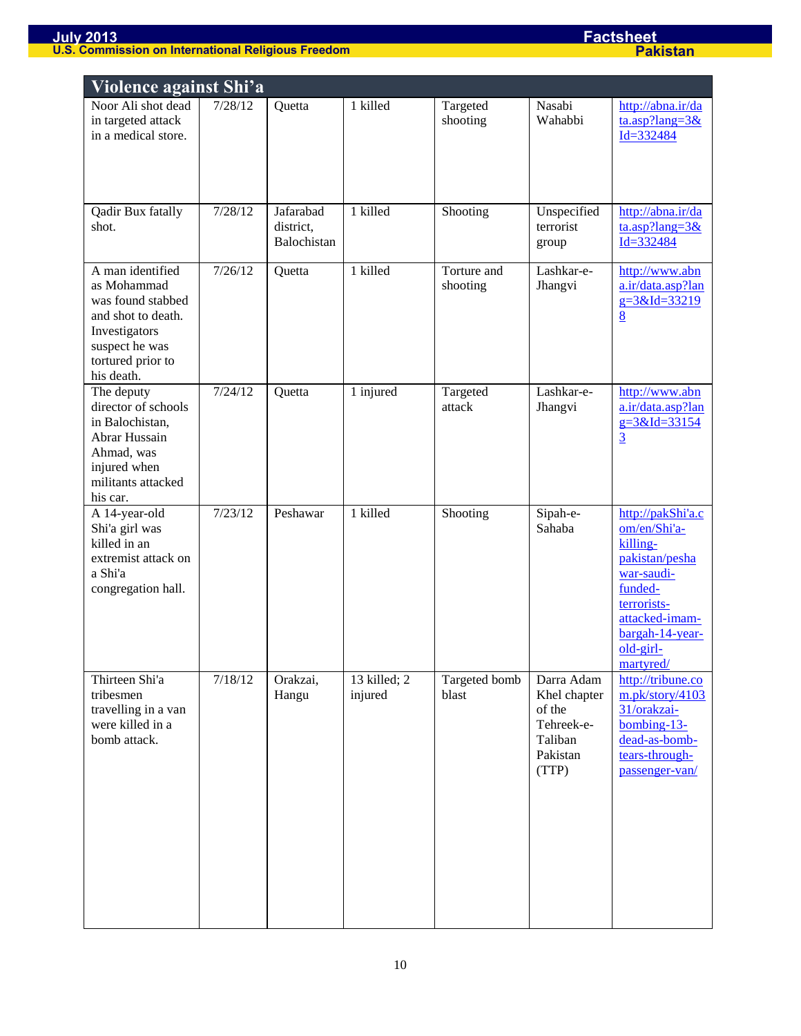| Violence against Shi'a                                                                                                                           |         |                                       |                         |                         |                                                                                    |                                                                                                                                                                        |
|--------------------------------------------------------------------------------------------------------------------------------------------------|---------|---------------------------------------|-------------------------|-------------------------|------------------------------------------------------------------------------------|------------------------------------------------------------------------------------------------------------------------------------------------------------------------|
| Noor Ali shot dead<br>in targeted attack<br>in a medical store.                                                                                  | 7/28/12 | Quetta                                | 1 killed                | Targeted<br>shooting    | Nasabi<br>Wahabbi                                                                  | http://abna.ir/da<br>$\frac{\tan 3x}{\tan 2x}$<br>$Id = 332484$                                                                                                        |
| Qadir Bux fatally<br>shot.                                                                                                                       | 7/28/12 | Jafarabad<br>district,<br>Balochistan | 1 killed                | Shooting                | Unspecified<br>terrorist<br>group                                                  | http://abna.ir/da<br>$\tan\frac{3\&}{}$<br>$Id = 332484$                                                                                                               |
| A man identified<br>as Mohammad<br>was found stabbed<br>and shot to death.<br>Investigators<br>suspect he was<br>tortured prior to<br>his death. | 7/26/12 | Quetta                                | 1 killed                | Torture and<br>shooting | Lashkar-e-<br>Jhangvi                                                              | http://www.abn<br>a.ir/data.asp?lan<br>$g = 3&Id = 33219$<br>$\underline{8}$                                                                                           |
| The deputy<br>director of schools<br>in Balochistan,<br>Abrar Hussain<br>Ahmad, was<br>injured when<br>militants attacked<br>his car.            | 7/24/12 | Quetta                                | 1 injured               | Targeted<br>attack      | Lashkar-e-<br>Jhangvi                                                              | http://www.abn<br>a.ir/data.asp?lan<br>$g = 3&Id = 33154$<br>$\overline{3}$                                                                                            |
| A 14-year-old<br>Shi'a girl was<br>killed in an<br>extremist attack on<br>a Shi'a<br>congregation hall.                                          | 7/23/12 | Peshawar                              | 1 killed                | Shooting                | Sipah-e-<br>Sahaba                                                                 | http://pakShi'a.c<br>om/en/Shi'a-<br>killing-<br>pakistan/pesha<br>war-saudi-<br>funded-<br>terrorists-<br>attacked-imam-<br>bargah-14-year-<br>old-girl-<br>martyred/ |
| Thirteen Shi'a<br>tribesmen<br>travelling in a van<br>were killed in a<br>bomb attack.                                                           | 7/18/12 | Orakzai,<br>Hangu                     | 13 killed; 2<br>injured | Targeted bomb<br>blast  | Darra Adam<br>Khel chapter<br>of the<br>Tehreek-e-<br>Taliban<br>Pakistan<br>(TTP) | http://tribune.co<br>m.pk/story/4103<br>31/orakzai-<br>$bombing-13-$<br>dead-as-bomb-<br>tears-through-<br>passenger-van/                                              |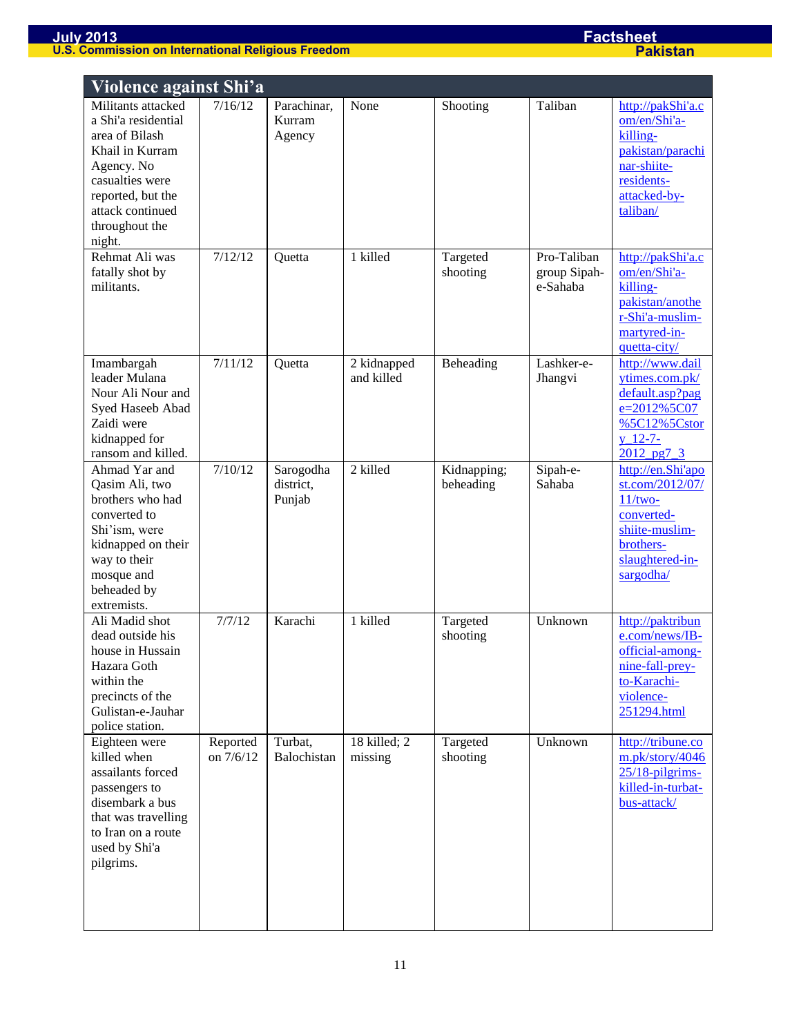| Violence against Shi'a                                                                                                                                                               |                       |                                  |                           |                          |                                         |                                                                                                                                |
|--------------------------------------------------------------------------------------------------------------------------------------------------------------------------------------|-----------------------|----------------------------------|---------------------------|--------------------------|-----------------------------------------|--------------------------------------------------------------------------------------------------------------------------------|
| Militants attacked<br>a Shi'a residential<br>area of Bilash<br>Khail in Kurram<br>Agency. No<br>casualties were<br>reported, but the<br>attack continued<br>throughout the<br>night. | 7/16/12               | Parachinar,<br>Kurram<br>Agency  | None                      | Shooting                 | Taliban                                 | http://pakShi'a.c<br>om/en/Shi'a-<br>killing-<br>pakistan/parachi<br>nar-shiite-<br>residents-<br>attacked-by-<br>taliban/     |
| Rehmat Ali was<br>fatally shot by<br>militants.                                                                                                                                      | 7/12/12               | Quetta                           | 1 killed                  | Targeted<br>shooting     | Pro-Taliban<br>group Sipah-<br>e-Sahaba | http://pakShi'a.c<br>om/en/Shi'a-<br>killing-<br>pakistan/anothe<br>r-Shi'a-muslim-<br>martyred-in-<br>quetta-city/            |
| Imambargah<br>leader Mulana<br>Nour Ali Nour and<br>Syed Haseeb Abad<br>Zaidi were<br>kidnapped for<br>ransom and killed.                                                            | 7/11/12               | Quetta                           | 2 kidnapped<br>and killed | Beheading                | Lashker-e-<br>Jhangvi                   | http://www.dail<br>ytimes.com.pk/<br>default.asp?pag<br>e=2012%5C07<br>%5C12%5Cstor<br>$y$ 12-7-<br>2012 pg7_3                 |
| Ahmad Yar and<br>Qasim Ali, two<br>brothers who had<br>converted to<br>Shi'ism, were<br>kidnapped on their<br>way to their<br>mosque and<br>beheaded by<br>extremists.               | 7/10/12               | Sarogodha<br>district,<br>Punjab | 2 killed                  | Kidnapping;<br>beheading | Sipah-e-<br>Sahaba                      | http://en.Shi'apo<br>st.com/2012/07/<br>$11/two-$<br>converted-<br>shiite-muslim-<br>brothers-<br>slaughtered-in-<br>sargodha/ |
| Ali Madid shot<br>dead outside his<br>house in Hussain<br>Hazara Goth<br>within the<br>precincts of the<br>Gulistan-e-Jauhar<br>police station.                                      | 7/7/12                | Karachi                          | 1 killed                  | Targeted<br>shooting     | Unknown                                 | http://paktribun<br>e.com/news/IB-<br>official-among-<br>nine-fall-prey-<br>to-Karachi-<br>violence-<br>251294.html            |
| Eighteen were<br>killed when<br>assailants forced<br>passengers to<br>disembark a bus<br>that was travelling<br>to Iran on a route<br>used by Shi'a<br>pilgrims.                     | Reported<br>on 7/6/12 | Turbat,<br>Balochistan           | 18 killed; 2<br>missing   | Targeted<br>shooting     | Unknown                                 | http://tribune.co<br>m.pk/story/4046<br>$25/18$ -pilgrims-<br>killed-in-turbat-<br>bus-attack/                                 |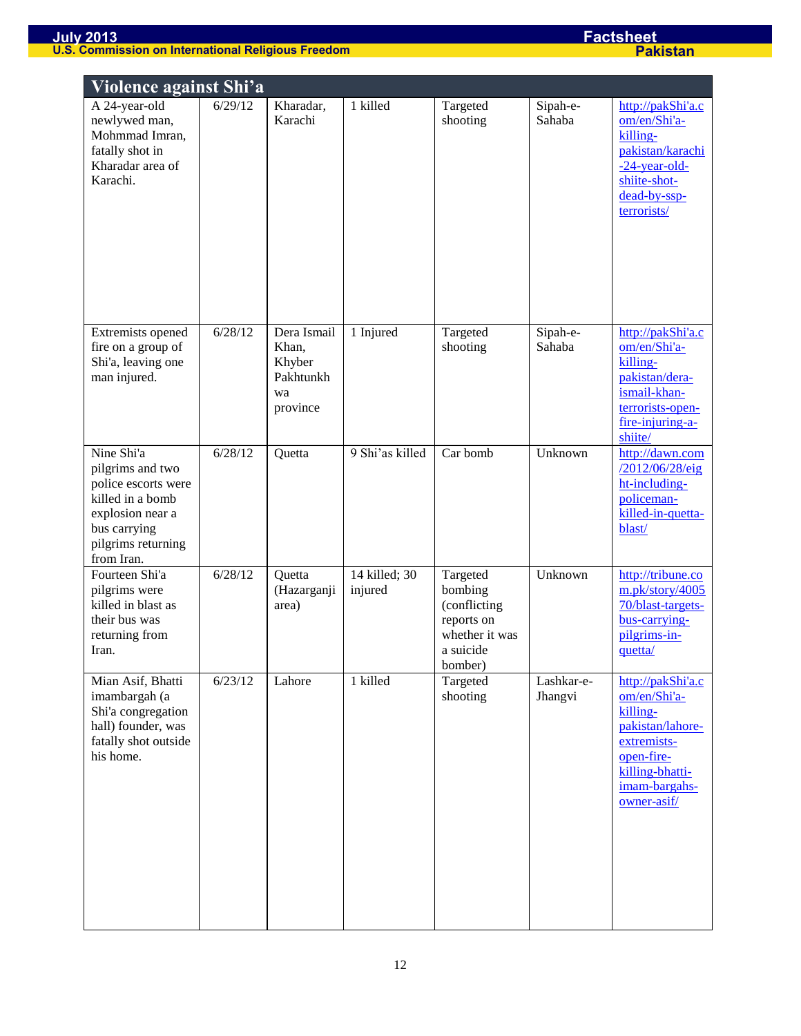| Violence against Shi'a                                                                                                                            |         |                                                               |                            |                                                                                             |                       |                                                                                                                                                   |
|---------------------------------------------------------------------------------------------------------------------------------------------------|---------|---------------------------------------------------------------|----------------------------|---------------------------------------------------------------------------------------------|-----------------------|---------------------------------------------------------------------------------------------------------------------------------------------------|
| A 24-year-old<br>newlywed man,<br>Mohmmad Imran,<br>fatally shot in<br>Kharadar area of<br>Karachi.                                               | 6/29/12 | Kharadar,<br>Karachi                                          | 1 killed                   | Targeted<br>shooting                                                                        | Sipah-e-<br>Sahaba    | http://pakShi'a.c<br>om/en/Shi'a-<br>killing-<br>pakistan/karachi<br>$-24$ -year-old-<br>shiite-shot-<br>dead-by-ssp-<br>terrorists/              |
| Extremists opened<br>fire on a group of<br>Shi'a, leaving one<br>man injured.                                                                     | 6/28/12 | Dera Ismail<br>Khan,<br>Khyber<br>Pakhtunkh<br>wa<br>province | 1 Injured                  | Targeted<br>shooting                                                                        | Sipah-e-<br>Sahaba    | http://pakShi'a.c<br>om/en/Shi'a-<br>killing-<br>pakistan/dera-<br>ismail-khan-<br>terrorists-open-<br>fire-injuring-a-<br>shiite/                |
| Nine Shi'a<br>pilgrims and two<br>police escorts were<br>killed in a bomb<br>explosion near a<br>bus carrying<br>pilgrims returning<br>from Iran. | 6/28/12 | Quetta                                                        | 9 Shi'as killed            | Car bomb                                                                                    | Unknown               | http://dawn.com<br>/2012/06/28/eig<br>ht-including-<br>policeman-<br>killed-in-quetta-<br>blast/                                                  |
| Fourteen Shi'a<br>pilgrims were<br>killed in blast as<br>their bus was<br>returning from<br>Iran.                                                 | 6/28/12 | Quetta<br>(Hazarganji<br>area)                                | $14$ killed; 30<br>injured | Targeted<br>bombing<br>(conflicting<br>reports on<br>whether it was<br>a suicide<br>bomber) | Unknown               | http://tribune.co<br>m.pk/story/4005<br>70/blast-targets-<br>bus-carrying-<br>pilgrims-in-<br>quetta/                                             |
| Mian Asif, Bhatti<br>imambargah (a<br>Shi'a congregation<br>hall) founder, was<br>fatally shot outside<br>his home.                               | 6/23/12 | Lahore                                                        | 1 killed                   | Targeted<br>shooting                                                                        | Lashkar-e-<br>Jhangvi | http://pakShi'a.c<br>om/en/Shi'a-<br>killing-<br>pakistan/lahore-<br>extremists-<br>open-fire-<br>killing-bhatti-<br>imam-bargahs-<br>owner-asif/ |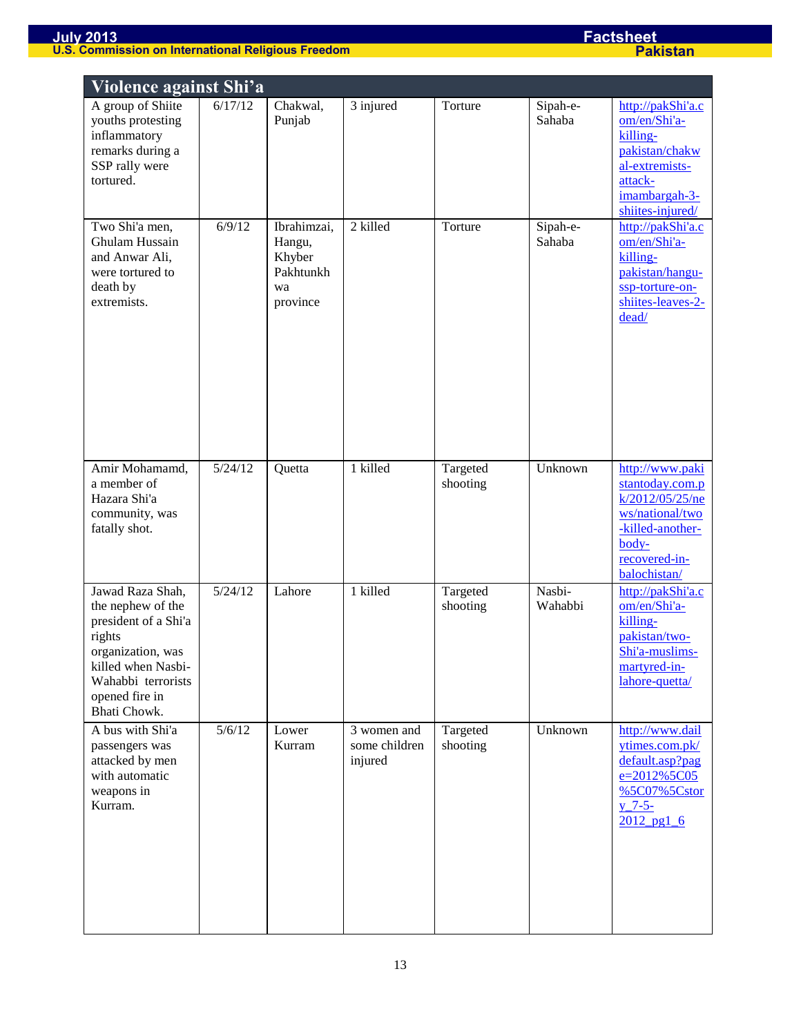| Violence against Shi'a                                                                                                                                                     |         |                                                                |                                         |                      |                    |                                                                                                                                        |  |  |  |
|----------------------------------------------------------------------------------------------------------------------------------------------------------------------------|---------|----------------------------------------------------------------|-----------------------------------------|----------------------|--------------------|----------------------------------------------------------------------------------------------------------------------------------------|--|--|--|
| A group of Shiite<br>youths protesting<br>inflammatory<br>remarks during a<br>SSP rally were<br>tortured.                                                                  | 6/17/12 | Chakwal,<br>Punjab                                             | 3 injured                               | Torture              | Sipah-e-<br>Sahaba | http://pakShi'a.c<br>om/en/Shi'a-<br>killing-<br>pakistan/chakw<br>al-extremists-<br>attack-<br>imambargah-3-<br>shiites-injured/      |  |  |  |
| Two Shi'a men,<br>Ghulam Hussain<br>and Anwar Ali,<br>were tortured to<br>death by<br>extremists.                                                                          | 6/9/12  | Ibrahimzai,<br>Hangu,<br>Khyber<br>Pakhtunkh<br>wa<br>province | 2 killed                                | Torture              | Sipah-e-<br>Sahaba | http://pakShi'a.c<br>om/en/Shi'a-<br>killing-<br>pakistan/hangu-<br>ssp-torture-on-<br>shiites-leaves-2-<br>dead/                      |  |  |  |
| Amir Mohamamd,<br>a member of<br>Hazara Shi'a<br>community, was<br>fatally shot.                                                                                           | 5/24/12 | Quetta                                                         | 1 killed                                | Targeted<br>shooting | Unknown            | http://www.paki<br>stantoday.com.p<br>k/2012/05/25/ne<br>ws/national/two<br>-killed-another-<br>body-<br>recovered-in-<br>balochistan/ |  |  |  |
| Jawad Raza Shah,<br>the nephew of the<br>president of a Shi'a<br>rights<br>organization, was<br>killed when Nasbi-<br>Wahabbi terrorists<br>opened fire in<br>Bhati Chowk. | 5/24/12 | Lahore                                                         | 1 killed                                | Targeted<br>shooting | Nasbi-<br>Wahabbi  | http://pakShi'a.c<br>om/en/Shi'a-<br>killing-<br>pakistan/two-<br>Shi'a-muslims-<br>martyred-in-<br>lahore-quetta/                     |  |  |  |
| A bus with Shi'a<br>passengers was<br>attacked by men<br>with automatic<br>weapons in<br>Kurram.                                                                           | 5/6/12  | Lower<br>Kurram                                                | 3 women and<br>some children<br>injured | Targeted<br>shooting | Unknown            | http://www.dail<br>ytimes.com.pk/<br>default.asp?pag<br>e=2012%5C05<br>%5C07%5Cstor<br>$y - 7 - 5 -$<br>$2012$ pg1 6                   |  |  |  |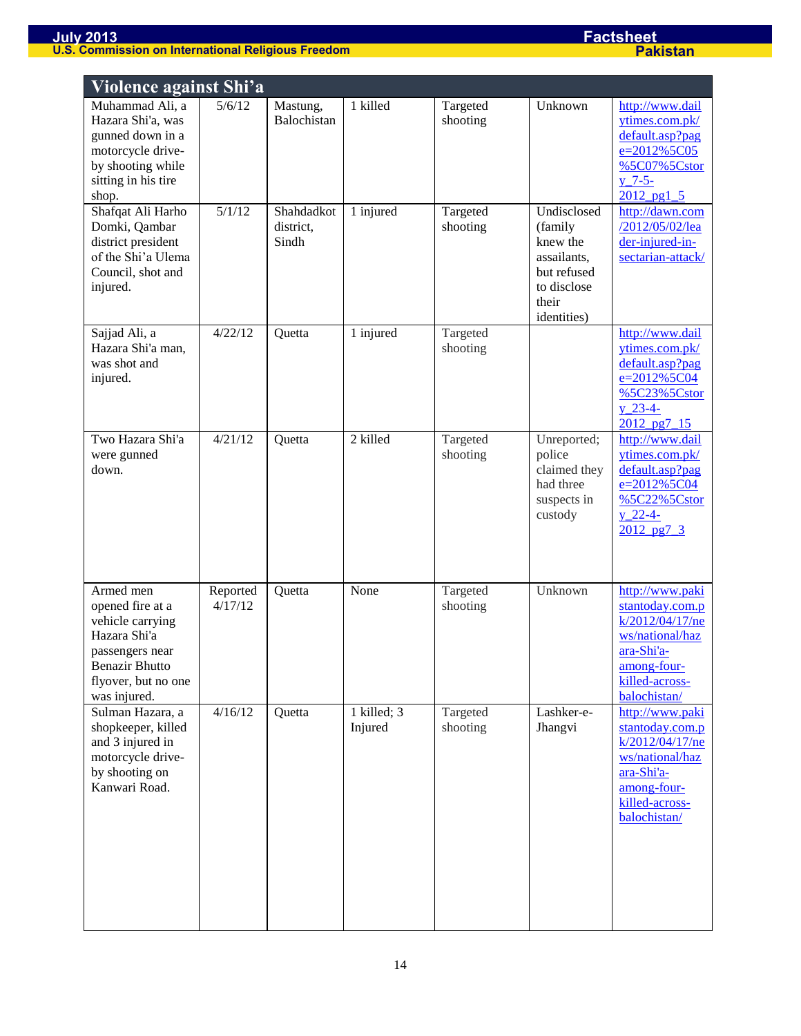| Violence against Shi'a                                                                                                                               |                     |                                  |                        |                      |                                                                                                         |                                                                                                                                         |
|------------------------------------------------------------------------------------------------------------------------------------------------------|---------------------|----------------------------------|------------------------|----------------------|---------------------------------------------------------------------------------------------------------|-----------------------------------------------------------------------------------------------------------------------------------------|
| Muhammad Ali, a<br>Hazara Shi'a, was<br>gunned down in a<br>motorcycle drive-<br>by shooting while<br>sitting in his tire<br>shop.                   | 5/6/12              | Mastung,<br>Balochistan          | 1 killed               | Targeted<br>shooting | Unknown                                                                                                 | http://www.dail<br>ytimes.com.pk/<br>default.asp?pag<br>$e=2012\%5C05$<br>%5C07%5Cstor<br>$y - 7 - 5 -$<br>$2012$ pg1 5                 |
| Shafqat Ali Harho<br>Domki, Qambar<br>district president<br>of the Shi'a Ulema<br>Council, shot and<br>injured.                                      | 5/1/12              | Shahdadkot<br>district,<br>Sindh | 1 injured              | Targeted<br>shooting | Undisclosed<br>(family<br>knew the<br>assailants,<br>but refused<br>to disclose<br>their<br>identities) | http://dawn.com<br>/2012/05/02/lea<br>der-injured-in-<br>sectarian-attack/                                                              |
| Sajjad Ali, a<br>Hazara Shi'a man,<br>was shot and<br>injured.                                                                                       | 4/22/12             | Quetta                           | 1 injured              | Targeted<br>shooting |                                                                                                         | http://www.dail<br>ytimes.com.pk/<br>default.asp?pag<br>e=2012%5C04<br>%5C23%5Cstor<br>$y_2$ 23-4-<br>2012 pg7 15                       |
| Two Hazara Shi'a<br>were gunned<br>down.                                                                                                             | 4/21/12             | Quetta                           | 2 killed               | Targeted<br>shooting | Unreported;<br>police<br>claimed they<br>had three<br>suspects in<br>custody                            | http://www.dail<br>ytimes.com.pk/<br>default.asp?pag<br>e=2012%5C04<br>%5C22%5Cstor<br>$y_22-4-$<br>$2012$ pg7 $3$                      |
| Armed men<br>opened fire at a<br>vehicle carrying<br>Hazara Shi'a<br>passengers near<br><b>Benazir Bhutto</b><br>flyover, but no one<br>was injured. | Reported<br>4/17/12 | Quetta                           | None                   | Targeted<br>shooting | Unknown                                                                                                 | http://www.paki<br>stantoday.com.p<br>k/2012/04/17/ne<br>ws/national/haz<br>ara-Shi'a-<br>among-four-<br>killed-across-<br>balochistan/ |
| Sulman Hazara, a<br>shopkeeper, killed<br>and 3 injured in<br>motorcycle drive-<br>by shooting on<br>Kanwari Road.                                   | 4/16/12             | Quetta                           | 1 killed; 3<br>Injured | Targeted<br>shooting | Lashker-e-<br>Jhangvi                                                                                   | http://www.paki<br>stantoday.com.p<br>k/2012/04/17/ne<br>ws/national/haz<br>ara-Shi'a-<br>among-four-<br>killed-across-<br>balochistan/ |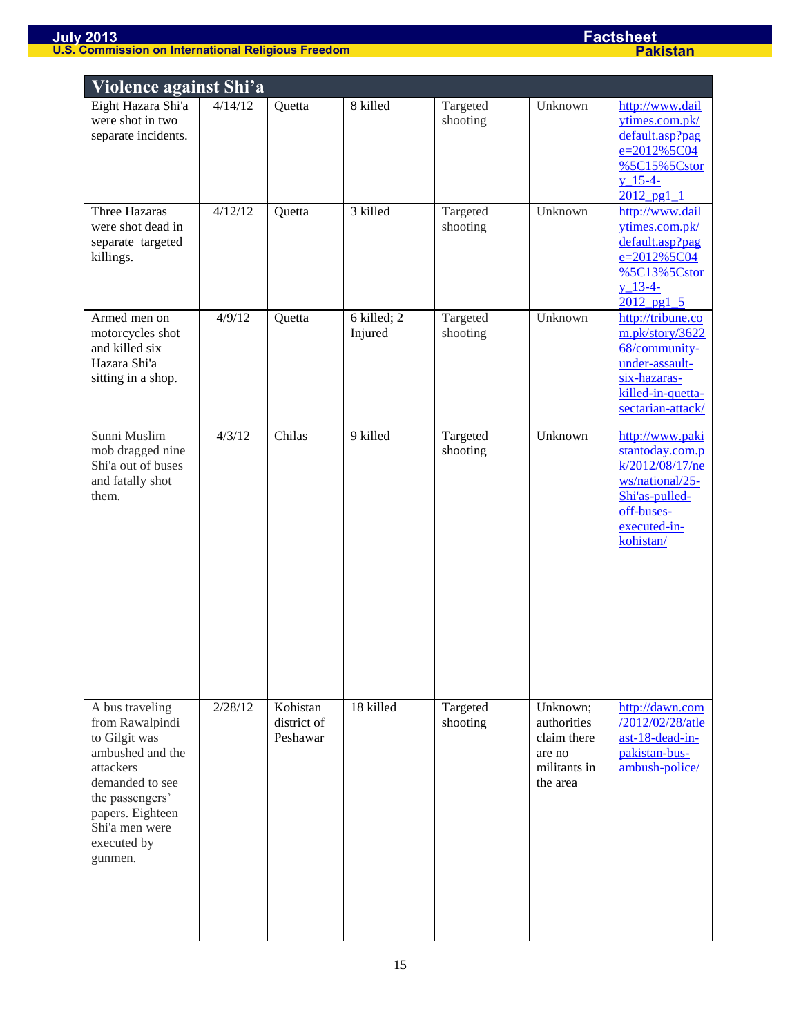| Violence against Shi'a                                                                                                                                                                     |         |                                     |                        |                      |                                                                              |                                                                                                                                       |  |  |  |
|--------------------------------------------------------------------------------------------------------------------------------------------------------------------------------------------|---------|-------------------------------------|------------------------|----------------------|------------------------------------------------------------------------------|---------------------------------------------------------------------------------------------------------------------------------------|--|--|--|
| Eight Hazara Shi'a<br>were shot in two<br>separate incidents.                                                                                                                              | 4/14/12 | Quetta                              | 8 killed               | Targeted<br>shooting | Unknown                                                                      | http://www.dail<br>ytimes.com.pk/<br>default.asp?pag<br>e=2012%5C04<br>%5C15%5Cstor<br>$y_15-4-$<br>$2012$ pg1 $1$                    |  |  |  |
| Three Hazaras<br>were shot dead in<br>separate targeted<br>killings.                                                                                                                       | 4/12/12 | Quetta                              | 3 killed               | Targeted<br>shooting | Unknown                                                                      | http://www.dail<br>ytimes.com.pk/<br>default.asp?pag<br>e=2012%5C04<br>%5C13%5Cstor<br>$y$ 13-4-<br>$2012$ pg1 5                      |  |  |  |
| Armed men on<br>motorcycles shot<br>and killed six<br>Hazara Shi'a<br>sitting in a shop.                                                                                                   | 4/9/12  | Quetta                              | 6 killed; 2<br>Injured | Targeted<br>shooting | Unknown                                                                      | http://tribune.co<br>m.pk/story/3622<br>68/community-<br>under-assault-<br>six-hazaras-<br>killed-in-quetta-<br>sectarian-attack/     |  |  |  |
| Sunni Muslim<br>mob dragged nine<br>Shi'a out of buses<br>and fatally shot<br>them.                                                                                                        | 4/3/12  | Chilas                              | 9 killed               | Targeted<br>shooting | Unknown                                                                      | http://www.paki<br>stantoday.com.p<br>k/2012/08/17/ne<br>ws/national/25-<br>Shi'as-pulled-<br>off-buses-<br>executed-in-<br>kohistan/ |  |  |  |
| A bus traveling<br>from Rawalpindi<br>to Gilgit was<br>ambushed and the<br>attackers<br>demanded to see<br>the passengers'<br>papers. Eighteen<br>Shi'a men were<br>executed by<br>gunmen. | 2/28/12 | Kohistan<br>district of<br>Peshawar | 18 killed              | Targeted<br>shooting | Unknown;<br>authorities<br>claim there<br>are no<br>militants in<br>the area | http://dawn.com<br>/2012/02/28/atle<br>ast-18-dead-in-<br>pakistan-bus-<br>ambush-police/                                             |  |  |  |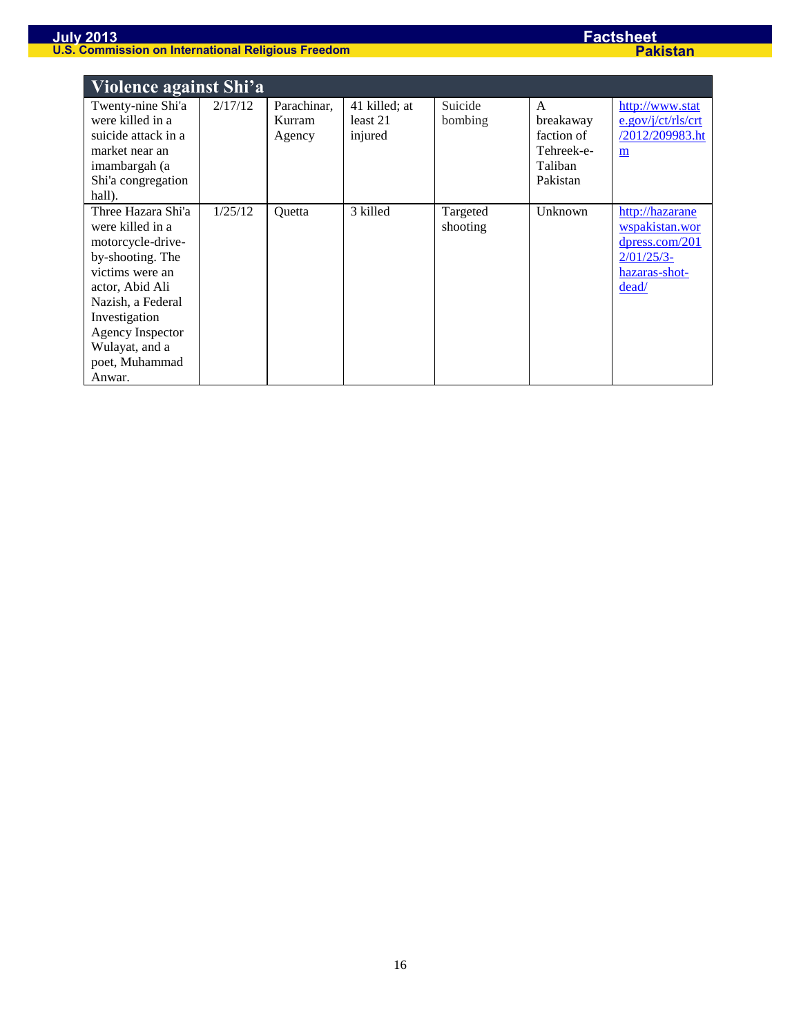| Violence against Shi'a                                                                                                                                                                                                               |         |                                 |                                      |                      |                                                                   |                                                                                                   |  |  |
|--------------------------------------------------------------------------------------------------------------------------------------------------------------------------------------------------------------------------------------|---------|---------------------------------|--------------------------------------|----------------------|-------------------------------------------------------------------|---------------------------------------------------------------------------------------------------|--|--|
| Twenty-nine Shi'a<br>were killed in a<br>suicide attack in a<br>market near an<br>imambargah (a<br>Shi'a congregation<br>hall).                                                                                                      | 2/17/12 | Parachinar,<br>Kurram<br>Agency | 41 killed; at<br>least 21<br>injured | Suicide<br>bombing   | A<br>breakaway<br>faction of<br>Tehreek-e-<br>Taliban<br>Pakistan | http://www.stat<br>e.gov/j/ct/rls/ct<br>/2012/209983.ht<br>m                                      |  |  |
| Three Hazara Shi'a<br>were killed in a<br>motorcycle-drive-<br>by-shooting. The<br>victims were an<br>actor, Abid Ali<br>Nazish, a Federal<br>Investigation<br><b>Agency Inspector</b><br>Wulayat, and a<br>poet, Muhammad<br>Anwar. | 1/25/12 | Ouetta                          | 3 killed                             | Targeted<br>shooting | Unknown                                                           | http://hazarane<br>wspakistan.wor<br>$d$ press.com/201<br>$2/01/25/3$ -<br>hazaras-shot-<br>dead/ |  |  |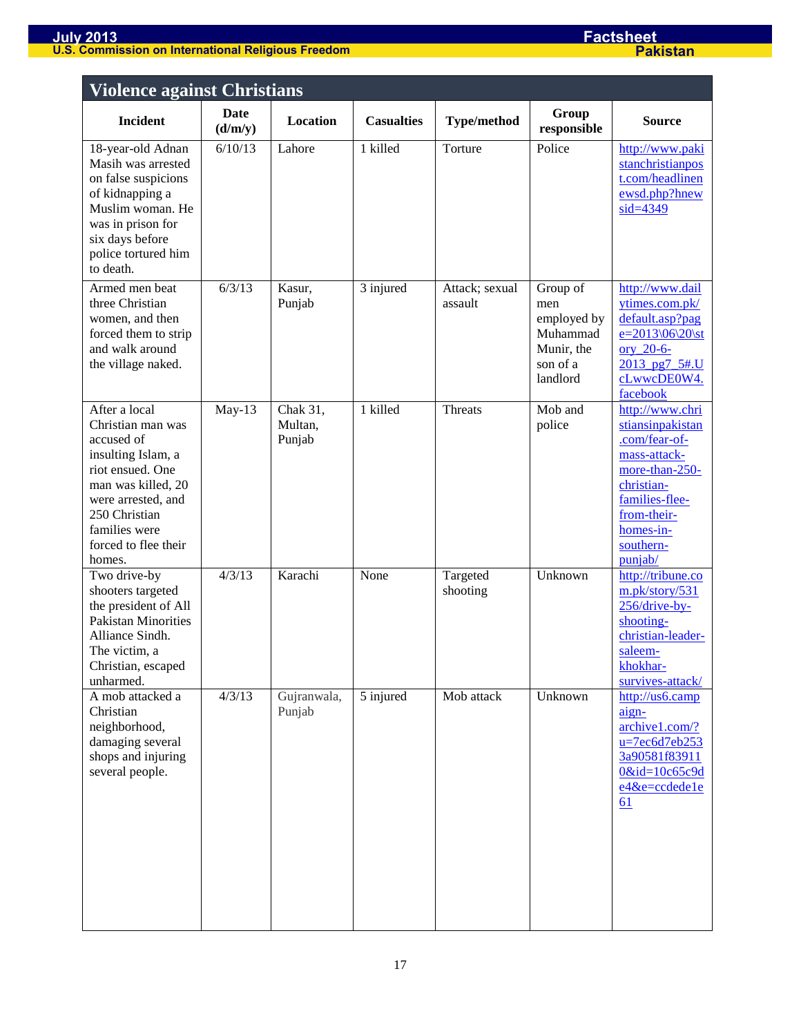| <b>Violence against Christians</b>                                                                                                                                                                         |                        |                               |                   |                           |                                                                                  |                                                                                                                                                                            |  |
|------------------------------------------------------------------------------------------------------------------------------------------------------------------------------------------------------------|------------------------|-------------------------------|-------------------|---------------------------|----------------------------------------------------------------------------------|----------------------------------------------------------------------------------------------------------------------------------------------------------------------------|--|
| <b>Incident</b>                                                                                                                                                                                            | <b>Date</b><br>(d/m/y) | Location                      | <b>Casualties</b> | <b>Type/method</b>        | Group<br>responsible                                                             | <b>Source</b>                                                                                                                                                              |  |
| 18-year-old Adnan<br>Masih was arrested<br>on false suspicions<br>of kidnapping a<br>Muslim woman. He<br>was in prison for<br>six days before<br>police tortured him<br>to death.                          | 6/10/13                | Lahore                        | 1 killed          | Torture                   | Police                                                                           | http://www.paki<br>stanchristianpos<br>t.com/headlinen<br>ewsd.php?hnew<br>$sid = 4349$                                                                                    |  |
| Armed men beat<br>three Christian<br>women, and then<br>forced them to strip<br>and walk around<br>the village naked.                                                                                      | 6/3/13                 | Kasur,<br>Punjab              | 3 injured         | Attack; sexual<br>assault | Group of<br>men<br>employed by<br>Muhammad<br>Munir, the<br>son of a<br>landlord | http://www.dail<br>ytimes.com.pk/<br>default.asp?pag<br>e=2013\06\20\st<br>ory 20-6-<br>2013 pg7 5#.U<br>cLwwcDE0W4.<br>facebook                                           |  |
| After a local<br>Christian man was<br>accused of<br>insulting Islam, a<br>riot ensued. One<br>man was killed, 20<br>were arrested, and<br>250 Christian<br>families were<br>forced to flee their<br>homes. | May-13                 | Chak 31,<br>Multan,<br>Punjab | 1 killed          | Threats                   | Mob and<br>police                                                                | http://www.chri<br>stiansinpakistan<br>.com/fear-of-<br>mass-attack-<br>more-than-250-<br>christian-<br>families-flee-<br>from-their-<br>homes-in-<br>southern-<br>punjab/ |  |
| Two drive-by<br>shooters targeted<br>the president of All<br><b>Pakistan Minorities</b><br>Alliance Sindh.<br>The victim, a<br>Christian, escaped<br>unharmed.                                             | 4/3/13                 | Karachi                       | None              | Targeted<br>shooting      | Unknown                                                                          | http://tribune.co<br>m.pk/story/531<br>$256/drive-by-$<br>shooting-<br>christian-leader-<br>saleem-<br>khokhar-<br>survives-attack/                                        |  |
| A mob attacked a<br>Christian<br>neighborhood,<br>damaging several<br>shops and injuring<br>several people.                                                                                                | 4/3/13                 | Gujranwala,<br>Punjab         | 5 injured         | Mob attack                | Unknown                                                                          | http://us6.camp<br>aign-<br>archive1.com/?<br>$u=7ec6d7eb253$<br>3a90581f83911<br>$0&id=10c65c9d$<br>e4&e=ccdede1e<br><u>61</u>                                            |  |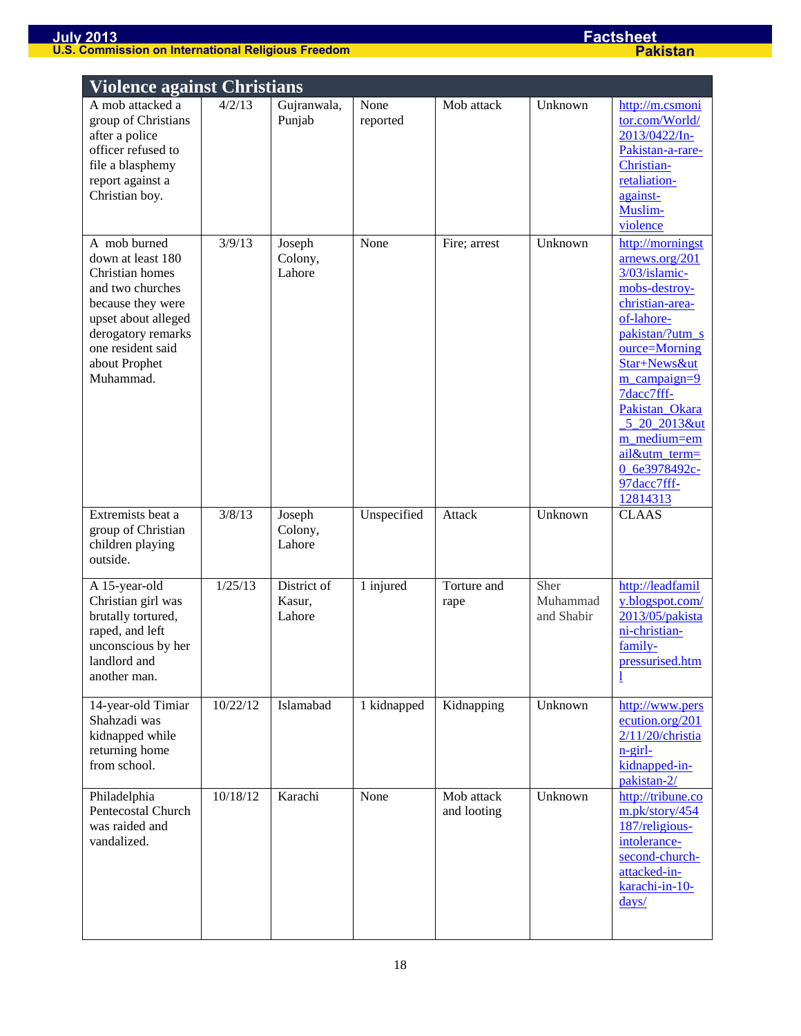| <b>Violence against Christians</b>                                                                                                                                                            |          |                                 |                  |                           |                                |                                                                                                                                                                                                                                                                                                         |  |
|-----------------------------------------------------------------------------------------------------------------------------------------------------------------------------------------------|----------|---------------------------------|------------------|---------------------------|--------------------------------|---------------------------------------------------------------------------------------------------------------------------------------------------------------------------------------------------------------------------------------------------------------------------------------------------------|--|
| A mob attacked a<br>group of Christians<br>after a police<br>officer refused to<br>file a blasphemy<br>report against a<br>Christian boy.                                                     | 4/2/13   | Gujranwala,<br>Punjab           | None<br>reported | Mob attack                | Unknown                        | http://m.csmoni<br>tor.com/World/<br>2013/0422/In-<br>Pakistan-a-rare-<br>Christian-<br>retaliation-<br>against-<br>Muslim-<br>violence                                                                                                                                                                 |  |
| A mob burned<br>down at least 180<br>Christian homes<br>and two churches<br>because they were<br>upset about alleged<br>derogatory remarks<br>one resident said<br>about Prophet<br>Muhammad. | 3/9/13   | Joseph<br>Colony,<br>Lahore     | None             | Fire; arrest              | Unknown                        | http://morningst<br>arnews.org/201<br>3/03/islamic-<br>mobs-destroy-<br>christian-area-<br>of-lahore-<br>pakistan/?utm_s<br>ource=Morning<br>Star+News&ut<br>$m$ campaign=9<br>7dacc7fff-<br>Pakistan Okara<br>5 20 2013&ut<br>m_medium=em<br>ail&utm_term=<br>0 6e3978492c-<br>97dacc7fff-<br>12814313 |  |
| Extremists beat a<br>group of Christian<br>children playing<br>outside.                                                                                                                       | 3/8/13   | Joseph<br>Colony,<br>Lahore     | Unspecified      | Attack                    | Unknown                        | <b>CLAAS</b>                                                                                                                                                                                                                                                                                            |  |
| A 15-year-old<br>Christian girl was<br>brutally tortured,<br>raped, and left<br>unconscious by her<br>landlord and<br>another man.                                                            | 1/25/13  | District of<br>Kasur,<br>Lahore | 1 injured        | Torture and<br>rape       | Sher<br>Muhammad<br>and Shabir | http://leadfamil<br>y.blogspot.com/<br>2013/05/pakista<br>ni-christian-<br>family-<br>pressurised.htm                                                                                                                                                                                                   |  |
| 14-year-old Timiar<br>Shahzadi was<br>kidnapped while<br>returning home<br>from school.                                                                                                       | 10/22/12 | Islamabad                       | 1 kidnapped      | Kidnapping                | Unknown                        | http://www.pers<br>ecution.org/201<br>$2/11/20$ /christia<br>$n$ -girl-<br>kidnapped-in-<br>pakistan-2/                                                                                                                                                                                                 |  |
| Philadelphia<br>Pentecostal Church<br>was raided and<br>vandalized.                                                                                                                           | 10/18/12 | Karachi                         | None             | Mob attack<br>and looting | Unknown                        | http://tribune.co<br>m.pk/story/454<br>187/religious-<br>intolerance-<br>second-church-<br>attacked-in-<br>karachi-in-10-<br>$\frac{days}{2}$                                                                                                                                                           |  |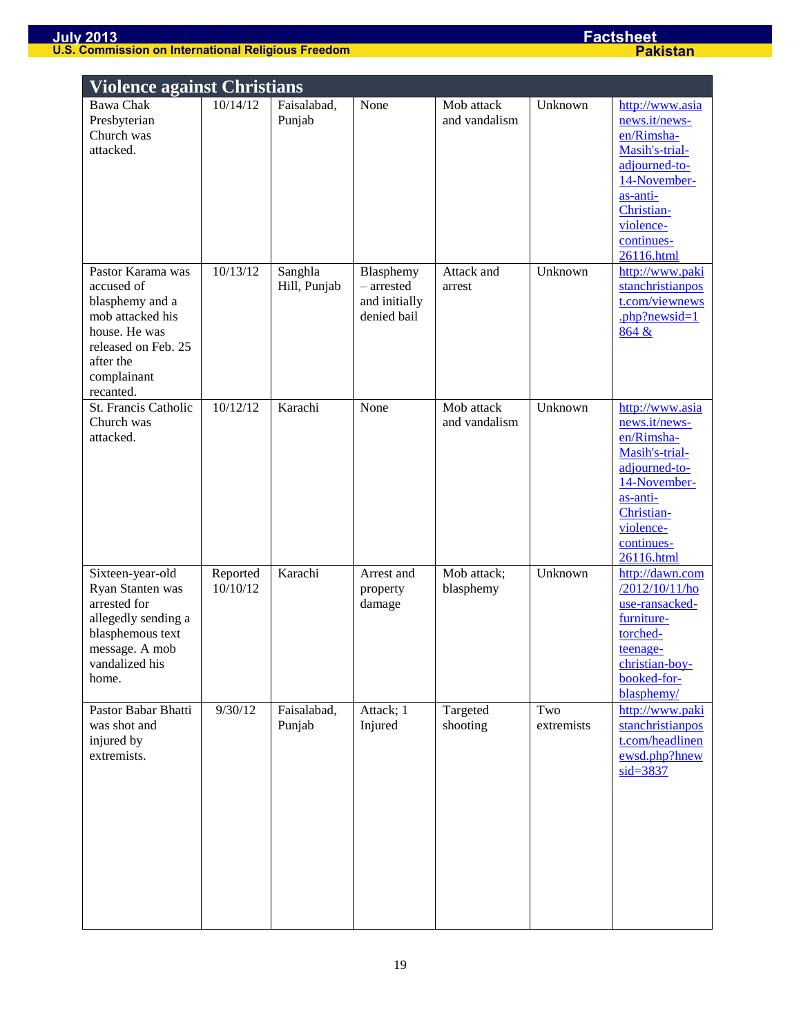| <b>Violence against Christians</b>                                                                                                           |                      |                                  |                                              |                                           |                    |                                                                                                                                                                                         |  |  |
|----------------------------------------------------------------------------------------------------------------------------------------------|----------------------|----------------------------------|----------------------------------------------|-------------------------------------------|--------------------|-----------------------------------------------------------------------------------------------------------------------------------------------------------------------------------------|--|--|
| <b>Bawa Chak</b><br>Presbyterian<br>Church was<br>attacked.<br>Pastor Karama was                                                             | 10/14/12<br>10/13/12 | Faisalabad,<br>Punjab<br>Sanghla | None<br>Blasphemy                            | Mob attack<br>and vandalism<br>Attack and | Unknown<br>Unknown | http://www.asia<br>news.it/news-<br>en/Rimsha-<br>Masih's-trial-<br>adjourned-to-<br>14-November-<br>as-anti-<br>Christian-<br>violence-<br>continues-<br>26116.html<br>http://www.paki |  |  |
| accused of<br>blasphemy and a<br>mob attacked his<br>house. He was<br>released on Feb. 25<br>after the<br>complainant<br>recanted.           |                      | Hill, Punjab                     | $-$ arrested<br>and initially<br>denied bail | arrest                                    |                    | stanchristianpos<br>t.com/viewnews<br>.php?newsid= $1$<br>864 &                                                                                                                         |  |  |
| St. Francis Catholic<br>Church was<br>attacked.                                                                                              | 10/12/12             | Karachi                          | None                                         | Mob attack<br>and vandalism               | Unknown            | http://www.asia<br>news.it/news-<br>en/Rimsha-<br>Masih's-trial-<br>adjourned-to-<br>14-November-<br>as-anti-<br>Christian-<br>violence-<br>continues-<br>26116.html                    |  |  |
| Sixteen-year-old<br>Ryan Stanten was<br>arrested for<br>allegedly sending a<br>blasphemous text<br>message. A mob<br>vandalized his<br>home. | Reported<br>10/10/12 | Karachi                          | Arrest and<br>property<br>damage             | Mob attack;<br>blasphemy                  | Unknown            | http://dawn.com<br>/2012/10/11/ho<br>use-ransacked-<br>furniture-<br>torched-<br>teenage-<br>christian-boy-<br>booked-for-<br>blasphemy/                                                |  |  |
| Pastor Babar Bhatti<br>was shot and<br>injured by<br>extremists.                                                                             | 9/30/12              | Faisalabad,<br>Punjab            | Attack; 1<br>Injured                         | Targeted<br>shooting                      | Two<br>extremists  | http://www.paki<br>stanchristianpos<br>t.com/headlinen<br>ewsd.php?hnew<br>$sid = 3837$                                                                                                 |  |  |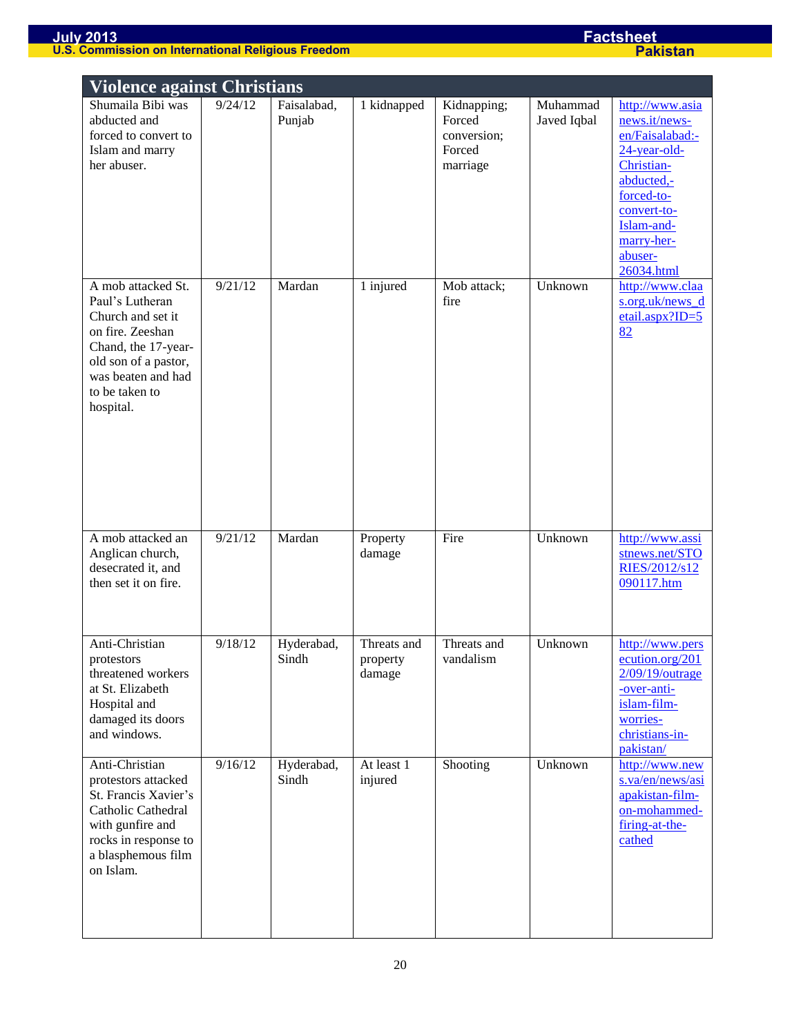|                                                                                                                                                                                    | <b>Violence against Christians</b> |                       |                                   |                                                            |                         |                                                                                                                                                                                      |  |  |
|------------------------------------------------------------------------------------------------------------------------------------------------------------------------------------|------------------------------------|-----------------------|-----------------------------------|------------------------------------------------------------|-------------------------|--------------------------------------------------------------------------------------------------------------------------------------------------------------------------------------|--|--|
| Shumaila Bibi was<br>abducted and<br>forced to convert to<br>Islam and marry<br>her abuser.                                                                                        | 9/24/12                            | Faisalabad,<br>Punjab | 1 kidnapped                       | Kidnapping;<br>Forced<br>conversion;<br>Forced<br>marriage | Muhammad<br>Javed Iqbal | http://www.asia<br>news.it/news-<br>en/Faisalabad:-<br>$24$ -year-old-<br>Christian-<br>abducted,-<br>forced-to-<br>convert-to-<br>Islam-and-<br>marry-her-<br>abuser-<br>26034.html |  |  |
| A mob attacked St.<br>Paul's Lutheran<br>Church and set it<br>on fire. Zeeshan<br>Chand, the 17-year-<br>old son of a pastor,<br>was beaten and had<br>to be taken to<br>hospital. | 9/21/12                            | Mardan                | 1 injured                         | Mob attack;<br>fire                                        | Unknown                 | http://www.claa<br>s.org.uk/news_d<br>$etail.$ aspx?ID=5<br>82                                                                                                                       |  |  |
| A mob attacked an<br>Anglican church,<br>desecrated it, and<br>then set it on fire.                                                                                                | 9/21/12                            | Mardan                | Property<br>damage                | Fire                                                       | Unknown                 | http://www.assi<br>stnews.net/STO<br>RIES/2012/s12<br>090117.htm                                                                                                                     |  |  |
| Anti-Christian<br>protestors<br>threatened workers<br>at St. Elizabeth<br>Hospital and<br>damaged its doors<br>and windows.                                                        | 9/18/12                            | Hyderabad,<br>Sindh   | Threats and<br>property<br>damage | Threats and<br>vandalism                                   | Unknown                 | http://www.pers<br>ecution.org/201<br>2/09/19/outrage<br>-over-anti-<br>islam-film-<br>worries-<br>christians-in-<br>pakistan/                                                       |  |  |
| Anti-Christian<br>protestors attacked<br>St. Francis Xavier's<br>Catholic Cathedral<br>with gunfire and<br>rocks in response to<br>a blasphemous film<br>on Islam.                 | 9/16/12                            | Hyderabad,<br>Sindh   | At least 1<br>injured             | Shooting                                                   | Unknown                 | http://www.new<br>s.va/en/news/asi<br>apakistan-film-<br>on-mohammed-<br>firing-at-the-<br>cathed                                                                                    |  |  |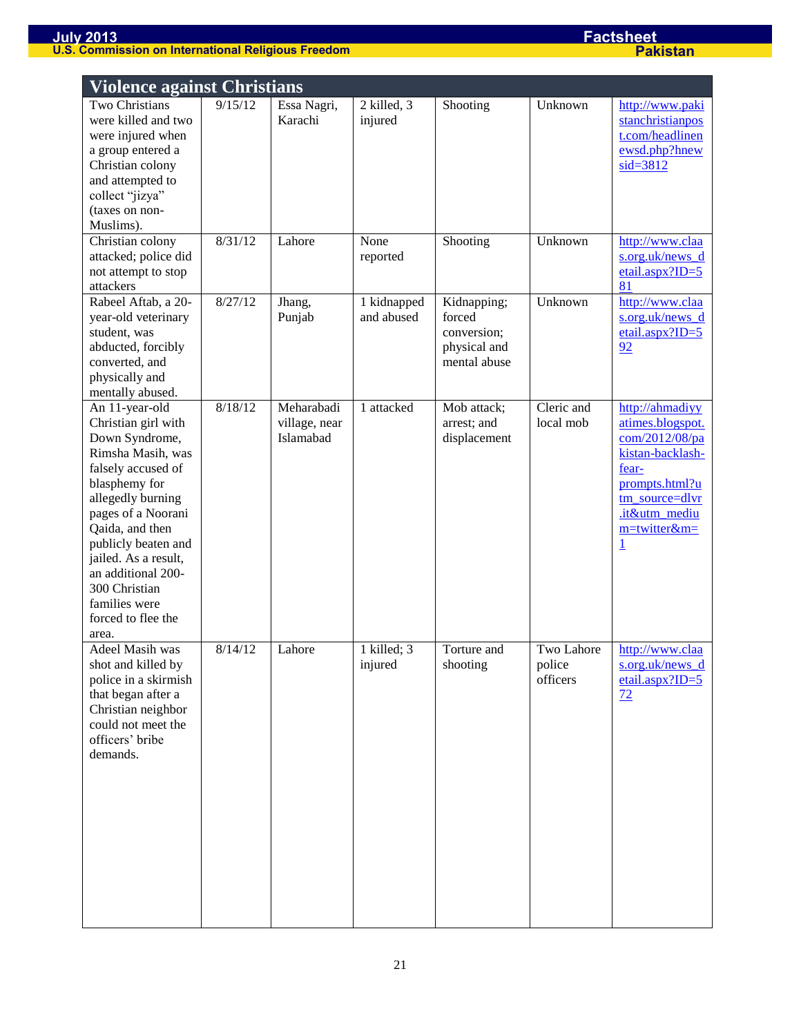| <b>Violence against Christians</b>                                                                                                                                                                                                                                                                                      |         |                                          |                           |                                                                      |                                  |                                                                                                                                                                           |  |
|-------------------------------------------------------------------------------------------------------------------------------------------------------------------------------------------------------------------------------------------------------------------------------------------------------------------------|---------|------------------------------------------|---------------------------|----------------------------------------------------------------------|----------------------------------|---------------------------------------------------------------------------------------------------------------------------------------------------------------------------|--|
| Two Christians<br>were killed and two<br>were injured when<br>a group entered a<br>Christian colony<br>and attempted to<br>collect "jizya"<br>(taxes on non-<br>Muslims).                                                                                                                                               | 9/15/12 | Essa Nagri,<br>Karachi                   | 2 killed, 3<br>injured    | Shooting                                                             | Unknown                          | http://www.paki<br>stanchristianpos<br>t.com/headlinen<br>ewsd.php?hnew<br>$sid = 3812$                                                                                   |  |
| Christian colony<br>attacked; police did<br>not attempt to stop<br>attackers                                                                                                                                                                                                                                            | 8/31/12 | Lahore                                   | None<br>reported          | Shooting                                                             | Unknown                          | http://www.claa<br>s.org.uk/news d<br>etail.aspx?ID= $5$<br>81                                                                                                            |  |
| Rabeel Aftab, a 20-<br>year-old veterinary<br>student, was<br>abducted, forcibly<br>converted, and<br>physically and<br>mentally abused.                                                                                                                                                                                | 8/27/12 | Jhang,<br>Punjab                         | 1 kidnapped<br>and abused | Kidnapping;<br>forced<br>conversion;<br>physical and<br>mental abuse | Unknown                          | http://www.claa<br>s.org.uk/news_d<br>$etail.$ aspx?ID=5<br>92                                                                                                            |  |
| An 11-year-old<br>Christian girl with<br>Down Syndrome,<br>Rimsha Masih, was<br>falsely accused of<br>blasphemy for<br>allegedly burning<br>pages of a Noorani<br>Qaida, and then<br>publicly beaten and<br>jailed. As a result,<br>an additional 200-<br>300 Christian<br>families were<br>forced to flee the<br>area. | 8/18/12 | Meharabadi<br>village, near<br>Islamabad | 1 attacked                | Mob attack;<br>arrest; and<br>displacement                           | Cleric and<br>local mob          | http://ahmadiyy<br>atimes.blogspot.<br>com/2012/08/pa<br>kistan-backlash-<br>fear-<br>prompts.html?u<br>tm_source=dlvr<br>.it&utm_mediu<br>m=twitter&m=<br>$\overline{1}$ |  |
| Adeel Masih was<br>shot and killed by<br>police in a skirmish<br>that began after a<br>Christian neighbor<br>could not meet the<br>officers' bribe<br>demands.                                                                                                                                                          | 8/14/12 | Lahore                                   | 1 killed; 3<br>injured    | Torture and<br>shooting                                              | Two Lahore<br>police<br>officers | http://www.claa<br>s.org.uk/news_d<br>etail.aspx?ID=5<br>72                                                                                                               |  |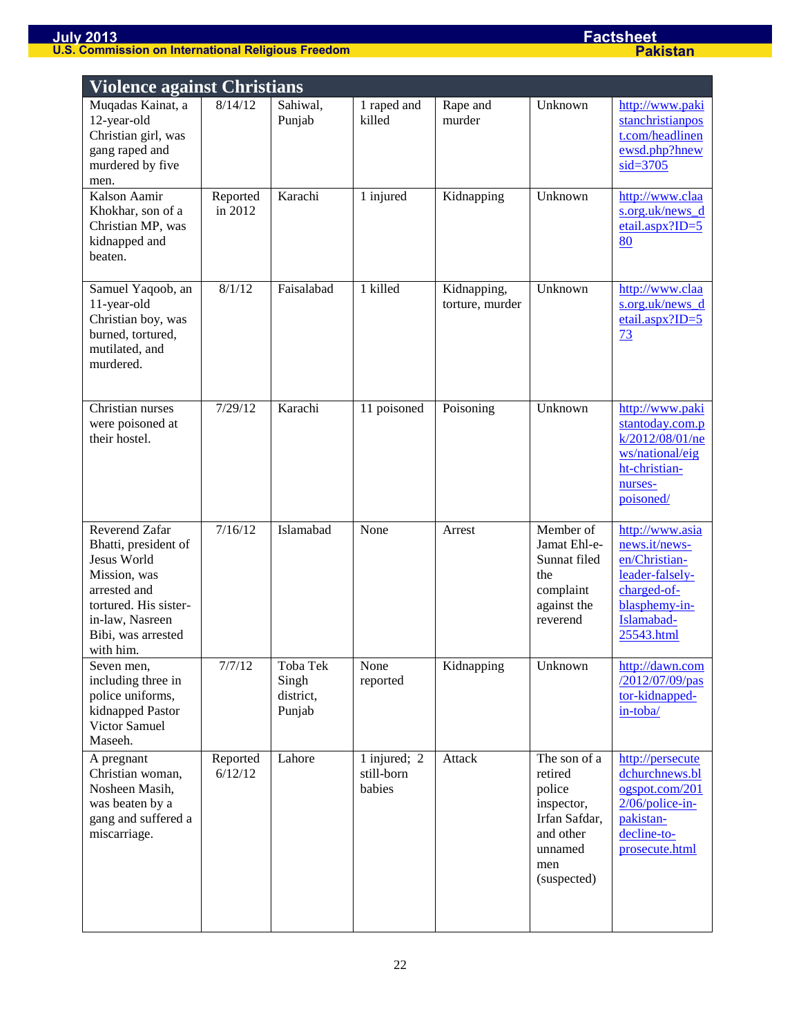| <b>Violence against Christians</b>                                                                                                                                   |                     |                                          |                                      |                                |                                                                                                                |                                                                                                                                  |
|----------------------------------------------------------------------------------------------------------------------------------------------------------------------|---------------------|------------------------------------------|--------------------------------------|--------------------------------|----------------------------------------------------------------------------------------------------------------|----------------------------------------------------------------------------------------------------------------------------------|
| Muqadas Kainat, a<br>12-year-old<br>Christian girl, was<br>gang raped and<br>murdered by five<br>men.                                                                | 8/14/12             | Sahiwal,<br>Punjab                       | 1 raped and<br>killed                | Rape and<br>murder             | Unknown                                                                                                        | http://www.paki<br>stanchristianpos<br>t.com/headlinen<br>ewsd.php?hnew<br>$sid = 3705$                                          |
| Kalson Aamir<br>Khokhar, son of a<br>Christian MP, was<br>kidnapped and<br>beaten.                                                                                   | Reported<br>in 2012 | Karachi                                  | 1 injured                            | Kidnapping                     | Unknown                                                                                                        | http://www.claa<br>s.org.uk/news_d<br>$etail.$ aspx?ID=5<br>80                                                                   |
| Samuel Yaqoob, an<br>11-year-old<br>Christian boy, was<br>burned, tortured,<br>mutilated, and<br>murdered.                                                           | 8/1/12              | Faisalabad                               | 1 killed                             | Kidnapping,<br>torture, murder | Unknown                                                                                                        | http://www.claa<br>s.org.uk/news d<br>$etail.$ aspx?ID=5<br>73                                                                   |
| Christian nurses<br>were poisoned at<br>their hostel.                                                                                                                | 7/29/12             | Karachi                                  | 11 poisoned                          | Poisoning                      | Unknown                                                                                                        | http://www.paki<br>stantoday.com.p<br>k/2012/08/01/ne<br>ws/national/eig<br>ht-christian-<br>nurses-<br>poisoned/                |
| Reverend Zafar<br>Bhatti, president of<br>Jesus World<br>Mission, was<br>arrested and<br>tortured. His sister-<br>in-law, Nasreen<br>Bibi, was arrested<br>with him. | 7/16/12             | Islamabad                                | None                                 | Arrest                         | Member of<br>Jamat Ehl-e-<br>Sunnat filed<br>the<br>complaint<br>against the<br>reverend                       | http://www.asia<br>news.it/news-<br>en/Christian-<br>leader-falsely-<br>charged-of-<br>blasphemy-in-<br>Islamabad-<br>25543.html |
| Seven men,<br>including three in<br>police uniforms,<br>kidnapped Pastor<br>Victor Samuel<br>Maseeh.                                                                 | 7/7/12              | Toba Tek<br>Singh<br>district,<br>Punjab | None<br>reported                     | Kidnapping                     | Unknown                                                                                                        | http://dawn.com<br>/2012/07/09/pas<br>tor-kidnapped-<br>in-toba/                                                                 |
| A pregnant<br>Christian woman,<br>Nosheen Masih,<br>was beaten by a<br>gang and suffered a<br>miscarriage.                                                           | Reported<br>6/12/12 | Lahore                                   | 1 injured; 2<br>still-born<br>babies | Attack                         | The son of a<br>retired<br>police<br>inspector,<br>Irfan Safdar,<br>and other<br>unnamed<br>men<br>(suspected) | http://persecute<br>dchurchnews.bl<br>ogspot.com/201<br>$2/06$ /police-in-<br>pakistan-<br>decline-to-<br>prosecute.html         |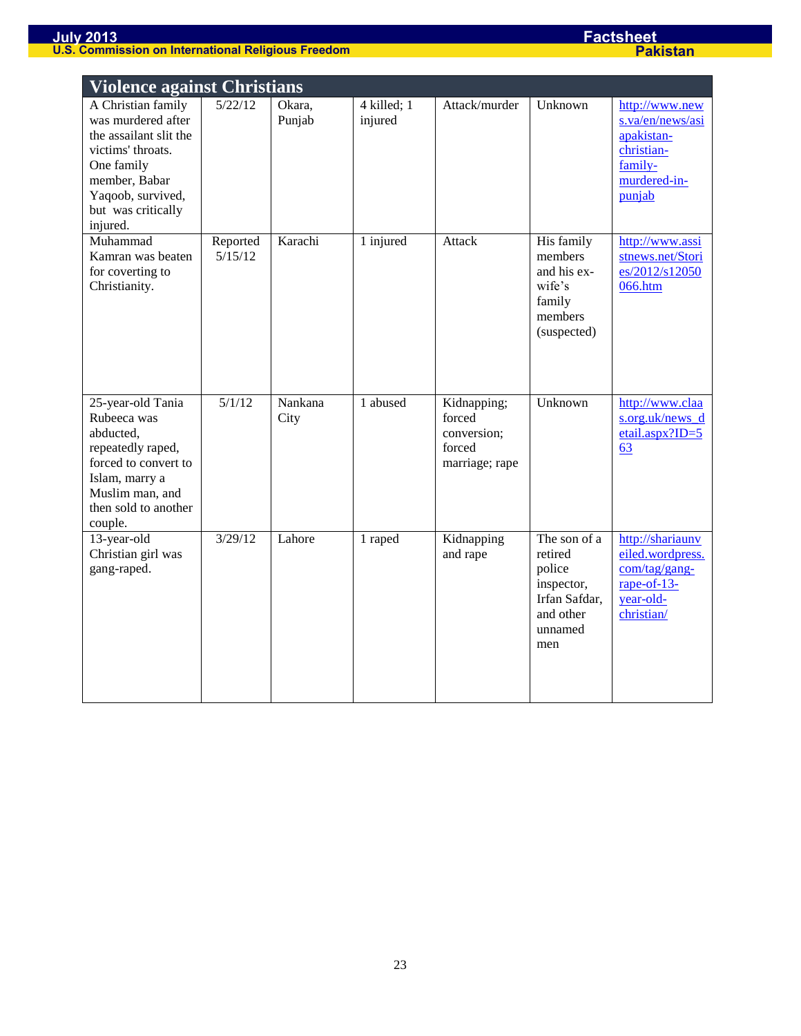| <b>Violence against Christians</b>                                                                                                                                            |                     |                                      |                        |                                                                  |                                                                                                 |                                                                                                       |  |
|-------------------------------------------------------------------------------------------------------------------------------------------------------------------------------|---------------------|--------------------------------------|------------------------|------------------------------------------------------------------|-------------------------------------------------------------------------------------------------|-------------------------------------------------------------------------------------------------------|--|
| A Christian family<br>was murdered after<br>the assailant slit the<br>victims' throats.<br>One family<br>member, Babar<br>Yaqoob, survived,<br>but was critically<br>injured. | 5/22/12             | Okara,<br>Punjab                     | 4 killed; 1<br>injured | Attack/murder                                                    | Unknown                                                                                         | http://www.new<br>s.va/en/news/asi<br>apakistan-<br>christian-<br>family-<br>murdered-in-<br>punjab   |  |
| Muhammad<br>Kamran was beaten<br>for coverting to<br>Christianity.                                                                                                            | Reported<br>5/15/12 | Karachi                              | 1 injured              | Attack                                                           | His family<br>members<br>and his ex-<br>wife's<br>family<br>members<br>(suspected)              | http://www.assi<br>stnews.net/Stori<br>es/2012/s12050<br>066.htm                                      |  |
| 25-year-old Tania<br>Rubeeca was<br>abducted,<br>repeatedly raped,<br>forced to convert to<br>Islam, marry a<br>Muslim man, and<br>then sold to another<br>couple.            | 5/1/12              | $\overline{\text{N}}$ ankana<br>City | 1 abused               | Kidnapping;<br>forced<br>conversion;<br>forced<br>marriage; rape | Unknown                                                                                         | http://www.claa<br>s.org.uk/news d<br>etail.aspx?ID=5<br>63                                           |  |
| 13-year-old<br>Christian girl was<br>gang-raped.                                                                                                                              | 3/29/12             | Lahore                               | 1 raped                | Kidnapping<br>and rape                                           | The son of a<br>retired<br>police<br>inspector,<br>Irfan Safdar,<br>and other<br>unnamed<br>men | http://shariaunv<br>eiled.wordpress.<br>$com/tag/gang-$<br>rape-of- $13$ -<br>year-old-<br>christian/ |  |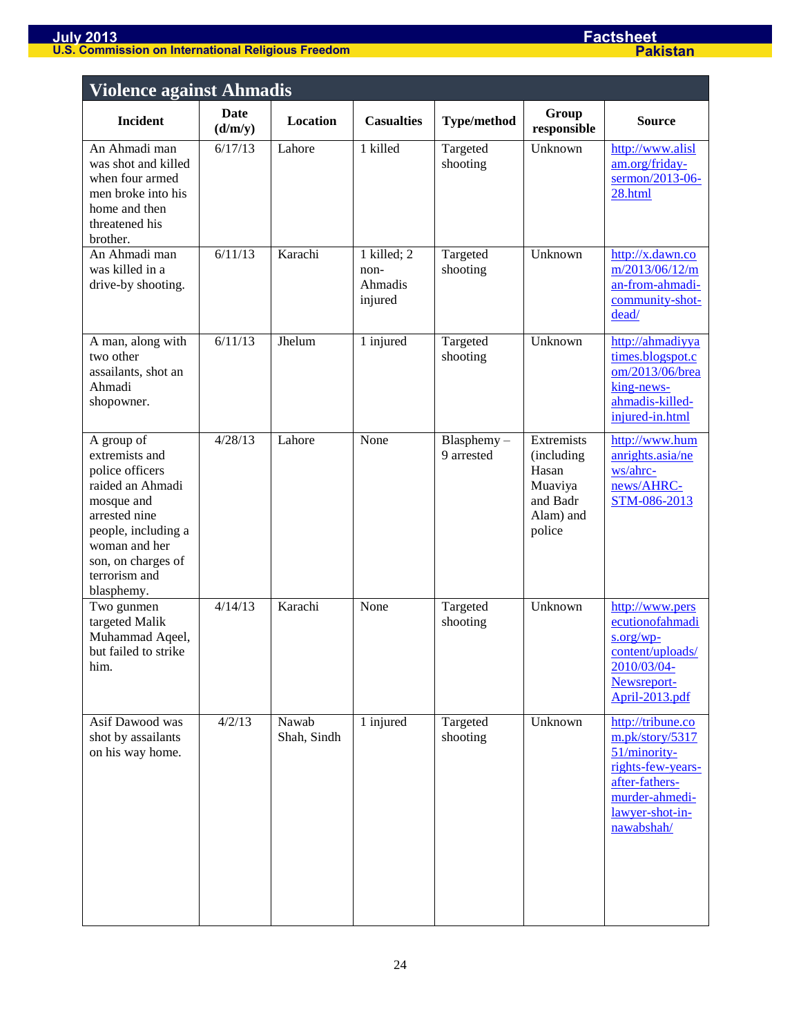| <b>Violence against Ahmadis</b>                                                                                                                                                                 |                 |                      |                                           |                             |                                                                                 |                                                                                                                                                |
|-------------------------------------------------------------------------------------------------------------------------------------------------------------------------------------------------|-----------------|----------------------|-------------------------------------------|-----------------------------|---------------------------------------------------------------------------------|------------------------------------------------------------------------------------------------------------------------------------------------|
| <b>Incident</b>                                                                                                                                                                                 | Date<br>(d/m/y) | <b>Location</b>      | <b>Casualties</b>                         | <b>Type/method</b>          | Group<br>responsible                                                            | <b>Source</b>                                                                                                                                  |
| An Ahmadi man<br>was shot and killed<br>when four armed<br>men broke into his<br>home and then<br>threatened his<br>brother.                                                                    | 6/17/13         | Lahore               | 1 killed                                  | Targeted<br>shooting        | Unknown                                                                         | http://www.alisl<br>am.org/friday-<br>sermon/2013-06-<br>28.html                                                                               |
| An Ahmadi man<br>was killed in a<br>drive-by shooting.                                                                                                                                          | 6/11/13         | Karachi              | 1 killed; 2<br>non-<br>Ahmadis<br>injured | Targeted<br>shooting        | Unknown                                                                         | http://x.dawn.co<br>m/2013/06/12/m<br>an-from-ahmadi-<br>community-shot-<br>dead/                                                              |
| A man, along with<br>two other<br>assailants, shot an<br>Ahmadi<br>shopowner.                                                                                                                   | 6/11/13         | Jhelum               | 1 injured                                 | Targeted<br>shooting        | Unknown                                                                         | http://ahmadiyya<br>times.blogspot.c<br>om/2013/06/brea<br>king-news-<br>ahmadis-killed-<br>injured-in.html                                    |
| A group of<br>extremists and<br>police officers<br>raided an Ahmadi<br>mosque and<br>arrested nine<br>people, including a<br>woman and her<br>son, on charges of<br>terrorism and<br>blasphemy. | 4/28/13         | Lahore               | None                                      | $Blasphemy -$<br>9 arrested | Extremists<br>(including<br>Hasan<br>Muaviya<br>and Badr<br>Alam) and<br>police | http://www.hum<br>anrights.asia/ne<br>ws/ahrc-<br>news/AHRC-<br>STM-086-2013                                                                   |
| Two gunmen<br>targeted Malik<br>Muhammad Aqeel,<br>but failed to strike<br>him.                                                                                                                 | 4/14/13         | Karachi              | None                                      | Targeted<br>shooting        | Unknown                                                                         | http://www.pers<br>ecutionofahmadi<br>s.org/wp<br>content/uploads/<br>2010/03/04-<br>Newsreport-<br>April-2013.pdf                             |
| Asif Dawood was<br>shot by assailants<br>on his way home.                                                                                                                                       | 4/2/13          | Nawab<br>Shah, Sindh | 1 injured                                 | Targeted<br>shooting        | Unknown                                                                         | http://tribune.co<br>m.pk/story/5317<br>51/minority-<br>rights-few-years-<br>after-fathers-<br>murder-ahmedi-<br>lawyer-shot-in-<br>nawabshah/ |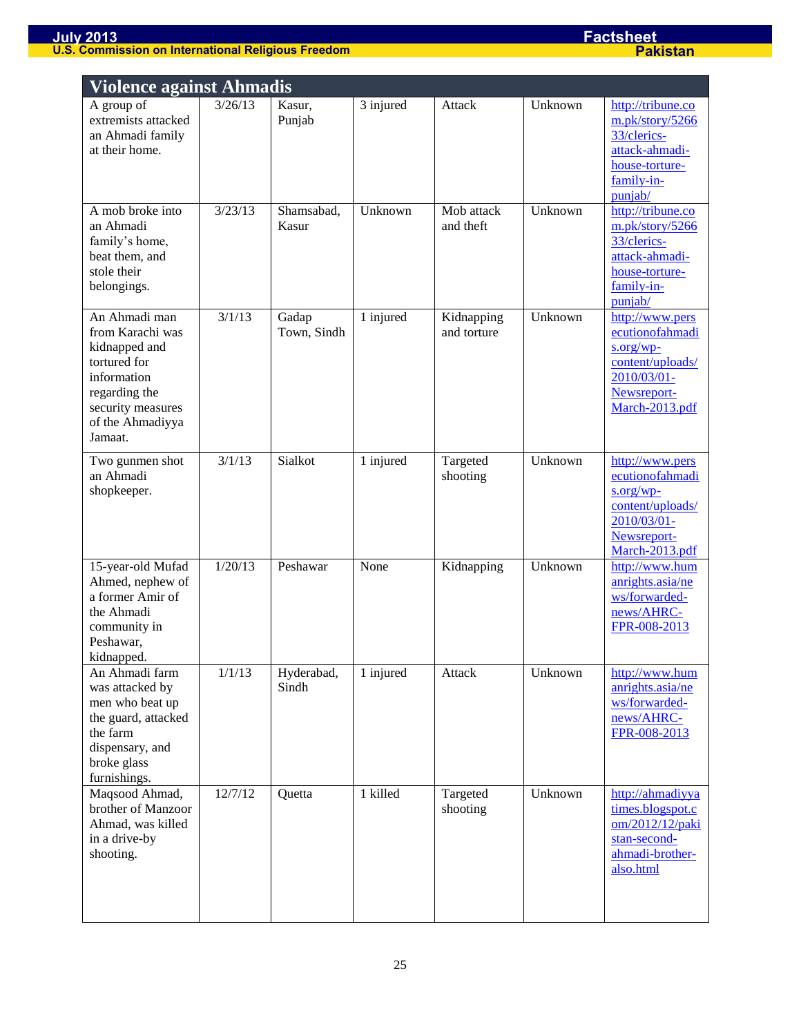| <b>Violence against Ahmadis</b>                                                                                                                        |                   |                      |           |                           |         |                                                                                                                    |  |
|--------------------------------------------------------------------------------------------------------------------------------------------------------|-------------------|----------------------|-----------|---------------------------|---------|--------------------------------------------------------------------------------------------------------------------|--|
| A group of<br>extremists attacked<br>an Ahmadi family<br>at their home.                                                                                | 3/26/13           | Kasur,<br>Punjab     | 3 injured | Attack                    | Unknown | http://tribune.co<br>m.pk/story/5266<br>33/clerics-<br>attack-ahmadi-<br>house-torture-<br>family-in-<br>punjab/   |  |
| A mob broke into<br>an Ahmadi<br>family's home,<br>beat them, and<br>stole their<br>belongings.                                                        | 3/23/13           | Shamsabad,<br>Kasur  | Unknown   | Mob attack<br>and theft   | Unknown | http://tribune.co<br>m.pk/story/5266<br>33/clerics-<br>attack-ahmadi-<br>house-torture-<br>family-in-<br>punjab/   |  |
| An Ahmadi man<br>from Karachi was<br>kidnapped and<br>tortured for<br>information<br>regarding the<br>security measures<br>of the Ahmadiyya<br>Jamaat. | 3/1/13            | Gadap<br>Town, Sindh | 1 injured | Kidnapping<br>and torture | Unknown | http://www.pers<br>ecutionofahmadi<br>s.org/wp<br>content/uploads/<br>2010/03/01-<br>Newsreport-<br>March-2013.pdf |  |
| Two gunmen shot<br>an Ahmadi<br>shopkeeper.                                                                                                            | 3/1/13            | Sialkot              | 1 injured | Targeted<br>shooting      | Unknown | http://www.pers<br>ecutionofahmadi<br>s.org/wp<br>content/uploads/<br>2010/03/01-<br>Newsreport-<br>March-2013.pdf |  |
| 15-year-old Mufad<br>Ahmed, nephew of<br>a former Amir of<br>the Ahmadi<br>community in<br>Peshawar,<br>kidnapped.                                     | 1/20/13           | Peshawar             | None      | Kidnapping                | Unknown | http://www.hum<br>anrights.asia/ne<br>ws/forwarded-<br>news/AHRC-<br>FPR-008-2013                                  |  |
| An Ahmadi farm<br>was attacked by<br>men who beat up<br>the guard, attacked<br>the farm<br>dispensary, and<br>broke glass<br>furnishings.              | 1/1/13            | Hyderabad,<br>Sindh  | 1 injured | Attack                    | Unknown | http://www.hum<br>anrights.asia/ne<br>ws/forwarded-<br>news/AHRC-<br>FPR-008-2013                                  |  |
| Maqsood Ahmad,<br>brother of Manzoor<br>Ahmad, was killed<br>in a drive-by<br>shooting.                                                                | $\frac{12}{7}/12$ | Quetta               | 1 killed  | Targeted<br>shooting      | Unknown | http://ahmadiyya<br>times.blogspot.c<br>om/2012/12/paki<br>stan-second-<br>ahmadi-brother-<br>also.html            |  |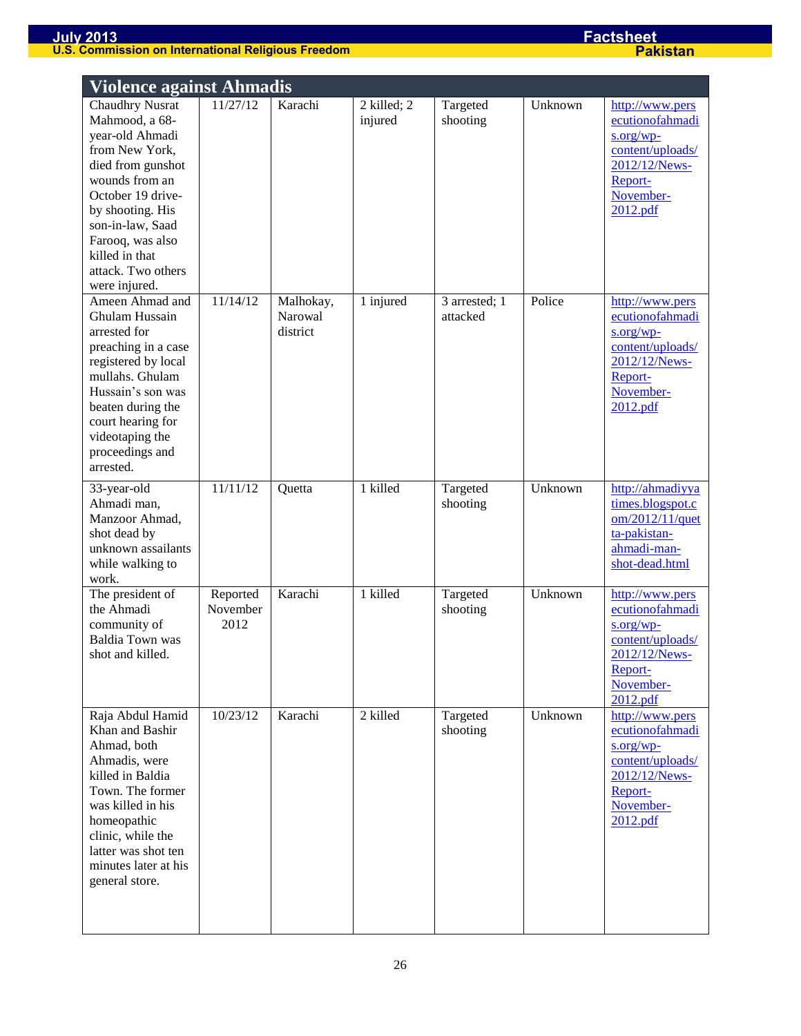| <b>Violence against Ahmadis</b>                                                                                                                                                                                                                                |                              |                                  |                        |                           |         |                                                                                                                             |  |  |
|----------------------------------------------------------------------------------------------------------------------------------------------------------------------------------------------------------------------------------------------------------------|------------------------------|----------------------------------|------------------------|---------------------------|---------|-----------------------------------------------------------------------------------------------------------------------------|--|--|
| <b>Chaudhry Nusrat</b><br>Mahmood, a 68-<br>year-old Ahmadi<br>from New York,<br>died from gunshot<br>wounds from an<br>October 19 drive-<br>by shooting. His<br>son-in-law, Saad<br>Farooq, was also<br>killed in that<br>attack. Two others<br>were injured. | 11/27/12                     | Karachi                          | 2 killed; 2<br>injured | Targeted<br>shooting      | Unknown | http://www.pers<br>ecutionofahmadi<br>$s.org/wp$ -<br>content/uploads/<br>2012/12/News-<br>Report-<br>November-<br>2012.pdf |  |  |
| Ameen Ahmad and<br>Ghulam Hussain<br>arrested for<br>preaching in a case<br>registered by local<br>mullahs. Ghulam<br>Hussain's son was<br>beaten during the<br>court hearing for<br>videotaping the<br>proceedings and<br>arrested.                           | 11/14/12                     | Malhokay,<br>Narowal<br>district | 1 injured              | 3 arrested; 1<br>attacked | Police  | http://www.pers<br>ecutionofahmadi<br>$s.org/wp$ -<br>content/uploads/<br>2012/12/News-<br>Report-<br>November-<br>2012.pdf |  |  |
| 33-year-old<br>Ahmadi man,<br>Manzoor Ahmad,<br>shot dead by<br>unknown assailants<br>while walking to<br>work.                                                                                                                                                | 11/11/12                     | Quetta                           | 1 killed               | Targeted<br>shooting      | Unknown | http://ahmadiyya<br>times.blogspot.c<br>om/2012/11/quet<br>ta-pakistan-<br>ahmadi-man-<br>shot-dead.html                    |  |  |
| The president of<br>the Ahmadi<br>community of<br><b>Baldia Town was</b><br>shot and killed.                                                                                                                                                                   | Reported<br>November<br>2012 | Karachi                          | 1 killed               | Targeted<br>shooting      | Unknown | http://www.pers<br>ecutionofahmadi<br>$s.org/wp-$<br>content/uploads/<br>2012/12/News-<br>Report-<br>November-<br>2012.pdf  |  |  |
| Raja Abdul Hamid<br>Khan and Bashir<br>Ahmad, both<br>Ahmadis, were<br>killed in Baldia<br>Town. The former<br>was killed in his<br>homeopathic<br>clinic, while the<br>latter was shot ten<br>minutes later at his<br>general store.                          | 10/23/12                     | Karachi                          | 2 killed               | Targeted<br>shooting      | Unknown | http://www.pers<br>ecutionofahmadi<br>$s.org/wp$ -<br>content/uploads/<br>2012/12/News-<br>Report-<br>November-<br>2012.pdf |  |  |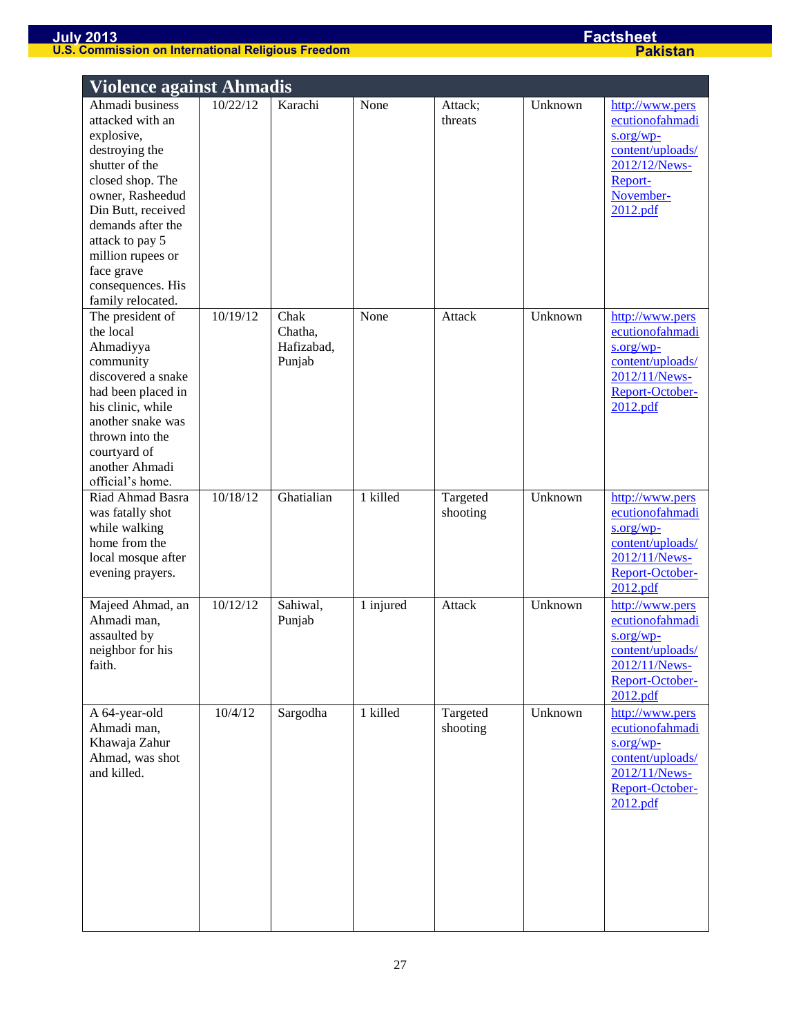| <b>Violence against Ahmadis</b>                                                                                                                                                                                                                                          |          |                                         |           |                      |         |                                                                                                                            |  |  |
|--------------------------------------------------------------------------------------------------------------------------------------------------------------------------------------------------------------------------------------------------------------------------|----------|-----------------------------------------|-----------|----------------------|---------|----------------------------------------------------------------------------------------------------------------------------|--|--|
| Ahmadi business<br>attacked with an<br>explosive,<br>destroying the<br>shutter of the<br>closed shop. The<br>owner, Rasheedud<br>Din Butt, received<br>demands after the<br>attack to pay 5<br>million rupees or<br>face grave<br>consequences. His<br>family relocated. | 10/22/12 | Karachi                                 | None      | Attack;<br>threats   | Unknown | http://www.pers<br>ecutionofahmadi<br>$s.org/wp-$<br>content/uploads/<br>2012/12/News-<br>Report-<br>November-<br>2012.pdf |  |  |
| The president of<br>the local<br>Ahmadiyya<br>community<br>discovered a snake<br>had been placed in<br>his clinic, while<br>another snake was<br>thrown into the<br>courtyard of<br>another Ahmadi<br>official's home.                                                   | 10/19/12 | Chak<br>Chatha,<br>Hafizabad,<br>Punjab | None      | Attack               | Unknown | http://www.pers<br>ecutionofahmadi<br>s.org/wp<br>content/uploads/<br>2012/11/News-<br>Report-October-<br>2012.pdf         |  |  |
| Riad Ahmad Basra<br>was fatally shot<br>while walking<br>home from the<br>local mosque after<br>evening prayers.                                                                                                                                                         | 10/18/12 | Ghatialian                              | 1 killed  | Targeted<br>shooting | Unknown | http://www.pers<br>ecutionofahmadi<br>s.org/wp<br>content/uploads/<br>2012/11/News-<br>Report-October-<br>2012.pdf         |  |  |
| Majeed Ahmad, an<br>Ahmadi man,<br>assaulted by<br>neighbor for his<br>faith.                                                                                                                                                                                            | 10/12/12 | Sahiwal,<br>Punjab                      | 1 injured | Attack               | Unknown | http://www.pers<br>ecutionofahmadi<br>s.org/wp-<br>content/uploads/<br>2012/11/News-<br>Report-October-<br>2012.pdf        |  |  |
| A 64-year-old<br>Ahmadi man,<br>Khawaja Zahur<br>Ahmad, was shot<br>and killed.                                                                                                                                                                                          | 10/4/12  | Sargodha                                | 1 killed  | Targeted<br>shooting | Unknown | http://www.pers<br>ecutionofahmadi<br>s.org/wp<br>content/uploads/<br>2012/11/News-<br>Report-October-<br>2012.pdf         |  |  |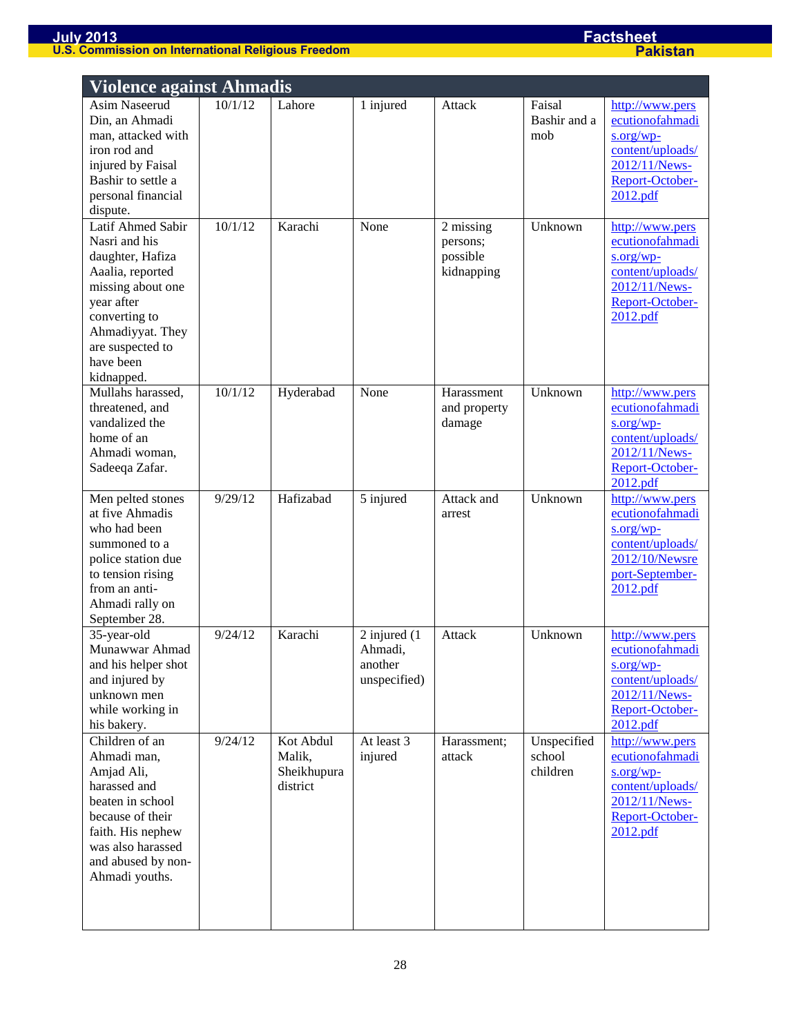| <b>Violence against Ahmadis</b>                                                                                                                                                                   |         |                                                |                                                         |                                                 |                                   |                                                                                                                         |  |
|---------------------------------------------------------------------------------------------------------------------------------------------------------------------------------------------------|---------|------------------------------------------------|---------------------------------------------------------|-------------------------------------------------|-----------------------------------|-------------------------------------------------------------------------------------------------------------------------|--|
| Asim Naseerud<br>Din, an Ahmadi<br>man, attacked with<br>iron rod and<br>injured by Faisal<br>Bashir to settle a<br>personal financial<br>dispute.                                                | 10/1/12 | Lahore                                         | 1 injured                                               | Attack                                          | Faisal<br>Bashir and a<br>mob     | http://www.pers<br>ecutionofahmadi<br>s.org/wp<br>content/uploads/<br>2012/11/News-<br>Report-October-<br>2012.pdf      |  |
| Latif Ahmed Sabir<br>Nasri and his<br>daughter, Hafiza<br>Aaalia, reported<br>missing about one<br>year after<br>converting to<br>Ahmadiyyat. They<br>are suspected to<br>have been<br>kidnapped. | 10/1/12 | Karachi                                        | None                                                    | 2 missing<br>persons;<br>possible<br>kidnapping | Unknown                           | http://www.pers<br>ecutionofahmadi<br>$s.org/wp$ -<br>content/uploads/<br>2012/11/News-<br>Report-October-<br>2012.pdf  |  |
| Mullahs harassed,<br>threatened, and<br>vandalized the<br>home of an<br>Ahmadi woman,<br>Sadeeqa Zafar.                                                                                           | 10/1/12 | Hyderabad                                      | None                                                    | Harassment<br>and property<br>damage            | Unknown                           | http://www.pers<br>ecutionofahmadi<br>$s.org/wp$ -<br>content/uploads/<br>2012/11/News-<br>Report-October-<br>2012.pdf  |  |
| Men pelted stones<br>at five Ahmadis<br>who had been<br>summoned to a<br>police station due<br>to tension rising<br>from an anti-<br>Ahmadi rally on<br>September 28.                             | 9/29/12 | Hafizabad                                      | 5 injured                                               | Attack and<br>arrest                            | Unknown                           | http://www.pers<br>ecutionofahmadi<br>$s.org/wp$ -<br>content/uploads/<br>2012/10/Newsre<br>port-September-<br>2012.pdf |  |
| 35-year-old<br>Munawwar Ahmad<br>and his helper shot<br>and injured by<br>unknown men<br>while working in<br>his bakery.                                                                          | 9/24/12 | Karachi                                        | $2$ injured $(1)$<br>Ahmadi,<br>another<br>unspecified) | Attack                                          | Unknown                           | http://www.pers<br>ecutionofahmadi<br>$s.org/wp$ -<br>content/uploads/<br>2012/11/News-<br>Report-October-<br>2012.pdf  |  |
| Children of an<br>Ahmadi man,<br>Amjad Ali,<br>harassed and<br>beaten in school<br>because of their<br>faith. His nephew<br>was also harassed<br>and abused by non-<br>Ahmadi youths.             | 9/24/12 | Kot Abdul<br>Malik,<br>Sheikhupura<br>district | At least 3<br>injured                                   | Harassment;<br>attack                           | Unspecified<br>school<br>children | http://www.pers<br>ecutionofahmadi<br>$s.org/wp-$<br>content/uploads/<br>2012/11/News-<br>Report-October-<br>2012.pdf   |  |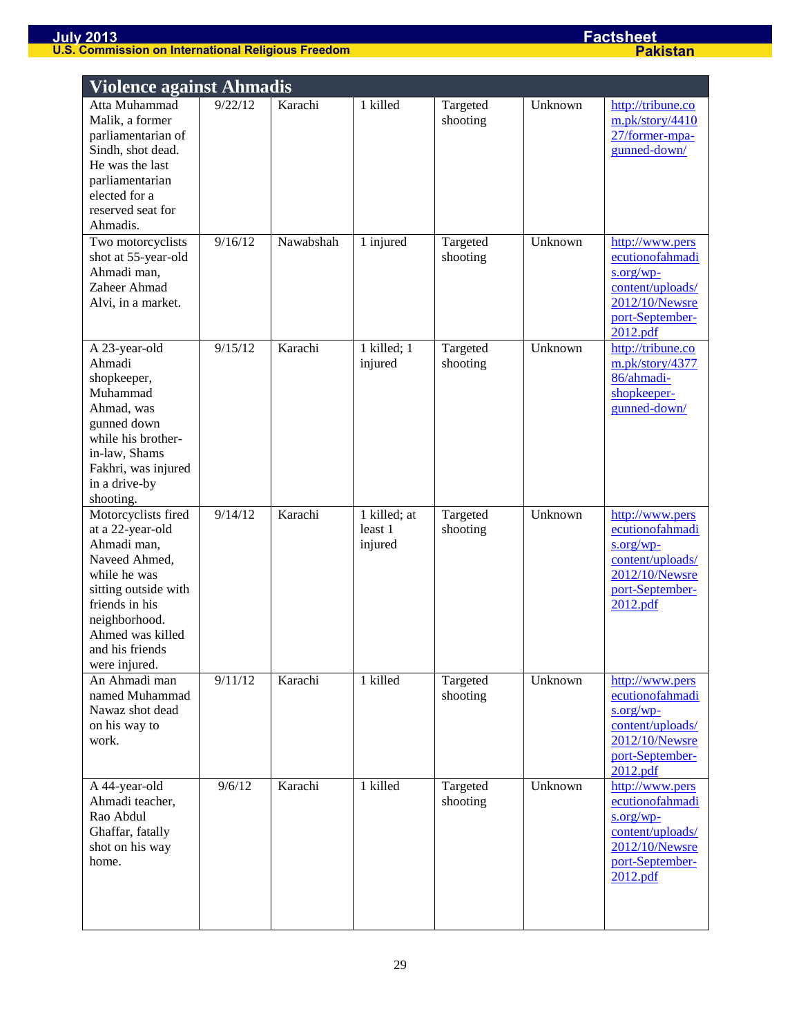|                                                                                                                                                                                                            | <b>Violence against Ahmadis</b> |           |                                    |                      |         |                                                                                                                        |  |  |
|------------------------------------------------------------------------------------------------------------------------------------------------------------------------------------------------------------|---------------------------------|-----------|------------------------------------|----------------------|---------|------------------------------------------------------------------------------------------------------------------------|--|--|
| Atta Muhammad<br>Malik, a former<br>parliamentarian of<br>Sindh, shot dead.<br>He was the last<br>parliamentarian<br>elected for a<br>reserved seat for<br>Ahmadis.                                        | 9/22/12                         | Karachi   | 1 killed                           | Targeted<br>shooting | Unknown | http://tribune.co<br>m.pk/story/4410<br>27/former-mpa-<br>gunned-down/                                                 |  |  |
| Two motorcyclists<br>shot at 55-year-old<br>Ahmadi man,<br>Zaheer Ahmad<br>Alvi, in a market.                                                                                                              | 9/16/12                         | Nawabshah | 1 injured                          | Targeted<br>shooting | Unknown | http://www.pers<br>ecutionofahmadi<br>s.org/wp<br>content/uploads/<br>2012/10/Newsre<br>port-September-<br>2012.pdf    |  |  |
| A 23-year-old<br>Ahmadi<br>shopkeeper,<br>Muhammad<br>Ahmad, was<br>gunned down<br>while his brother-<br>in-law, Shams<br>Fakhri, was injured<br>in a drive-by<br>shooting.                                | 9/15/12                         | Karachi   | 1 killed; 1<br>injured             | Targeted<br>shooting | Unknown | http://tribune.co<br>m.pk/story/4377<br>86/ahmadi-<br>shopkeeper-<br>gunned-down/                                      |  |  |
| Motorcyclists fired<br>at a 22-year-old<br>Ahmadi man,<br>Naveed Ahmed,<br>while he was<br>sitting outside with<br>friends in his<br>neighborhood.<br>Ahmed was killed<br>and his friends<br>were injured. | 9/14/12                         | Karachi   | 1 killed; at<br>least 1<br>injured | Targeted<br>shooting | Unknown | http://www.pers<br>ecutionofahmadi<br>$s.org/wp-$<br>content/uploads/<br>2012/10/Newsre<br>port-September-<br>2012.pdf |  |  |
| An Ahmadi man<br>named Muhammad<br>Nawaz shot dead<br>on his way to<br>work.                                                                                                                               | 9/11/12                         | Karachi   | 1 killed                           | Targeted<br>shooting | Unknown | http://www.pers<br>ecutionofahmadi<br>$s.org/wp-$<br>content/uploads/<br>2012/10/Newsre<br>port-September-<br>2012.pdf |  |  |
| A 44-year-old<br>Ahmadi teacher,<br>Rao Abdul<br>Ghaffar, fatally<br>shot on his way<br>home.                                                                                                              | 9/6/12                          | Karachi   | 1 killed                           | Targeted<br>shooting | Unknown | http://www.pers<br>ecutionofahmadi<br>$s.org/wp-$<br>content/uploads/<br>2012/10/Newsre<br>port-September-<br>2012.pdf |  |  |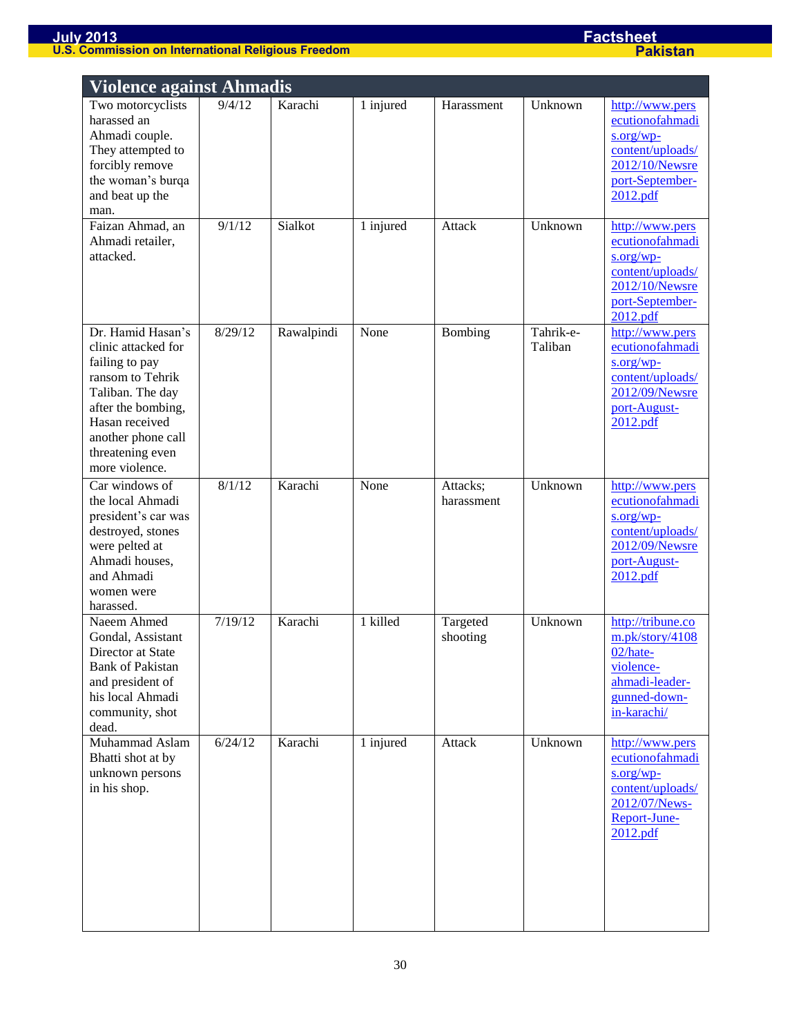| <b>Violence against Ahmadis</b>                                                                                                                                                                        |         |            |           |                        |                      |                                                                                                                         |  |  |
|--------------------------------------------------------------------------------------------------------------------------------------------------------------------------------------------------------|---------|------------|-----------|------------------------|----------------------|-------------------------------------------------------------------------------------------------------------------------|--|--|
| Two motorcyclists<br>harassed an<br>Ahmadi couple.<br>They attempted to<br>forcibly remove<br>the woman's burqa<br>and beat up the<br>man.                                                             | 9/4/12  | Karachi    | 1 injured | Harassment             | Unknown              | http://www.pers<br>ecutionofahmadi<br>$s.org/wp$ -<br>content/uploads/<br>2012/10/Newsre<br>port-September-<br>2012.pdf |  |  |
| Faizan Ahmad, an<br>Ahmadi retailer,<br>attacked.                                                                                                                                                      | 9/1/12  | Sialkot    | 1 injured | Attack                 | Unknown              | http://www.pers<br>ecutionofahmadi<br>$s.org/wp-$<br>content/uploads/<br>2012/10/Newsre<br>port-September-<br>2012.pdf  |  |  |
| Dr. Hamid Hasan's<br>clinic attacked for<br>failing to pay<br>ransom to Tehrik<br>Taliban. The day<br>after the bombing,<br>Hasan received<br>another phone call<br>threatening even<br>more violence. | 8/29/12 | Rawalpindi | None      | Bombing                | Tahrik-e-<br>Taliban | http://www.pers<br>ecutionofahmadi<br>s.org/wp-<br>content/uploads/<br>2012/09/Newsre<br>port-August-<br>2012.pdf       |  |  |
| Car windows of<br>the local Ahmadi<br>president's car was<br>destroyed, stones<br>were pelted at<br>Ahmadi houses,<br>and Ahmadi<br>women were<br>harassed.                                            | 8/1/12  | Karachi    | None      | Attacks;<br>harassment | Unknown              | http://www.pers<br>ecutionofahmadi<br>s.org/wp<br>content/uploads/<br>2012/09/Newsre<br>port-August-<br>2012.pdf        |  |  |
| Naeem Ahmed<br>Gondal, Assistant<br>Director at State<br><b>Bank of Pakistan</b><br>and president of<br>his local Ahmadi<br>community, shot<br>dead.                                                   | 7/19/12 | Karachi    | 1 killed  | Targeted<br>shooting   | Unknown              | http://tribune.co<br>m.pk/story/4108<br>02/hate-<br>violence-<br>ahmadi-leader-<br>gunned-down-<br>in-karachi/          |  |  |
| Muhammad Aslam<br>Bhatti shot at by<br>unknown persons<br>in his shop.                                                                                                                                 | 6/24/12 | Karachi    | 1 injured | Attack                 | Unknown              | http://www.pers<br>ecutionofahmadi<br>$s.org/wp$ -<br>content/uploads/<br>2012/07/News-<br>Report-June-<br>2012.pdf     |  |  |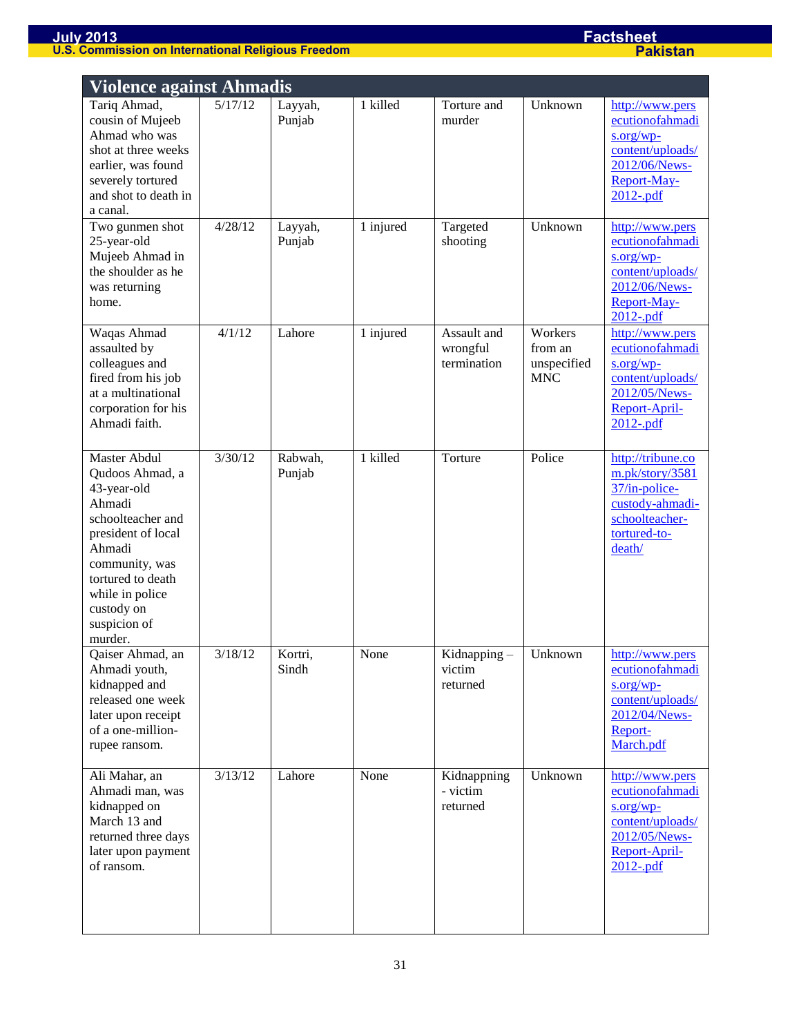|                                                                                                                                                                                                                         | <b>Violence against Ahmadis</b> |                   |           |                                        |                                                 |                                                                                                                      |  |  |  |
|-------------------------------------------------------------------------------------------------------------------------------------------------------------------------------------------------------------------------|---------------------------------|-------------------|-----------|----------------------------------------|-------------------------------------------------|----------------------------------------------------------------------------------------------------------------------|--|--|--|
| Tariq Ahmad,<br>cousin of Mujeeb<br>Ahmad who was<br>shot at three weeks<br>earlier, was found<br>severely tortured<br>and shot to death in<br>a canal.                                                                 | 5/17/12                         | Layyah,<br>Punjab | 1 killed  | Torture and<br>murder                  | Unknown                                         | http://www.pers<br>ecutionofahmadi<br>$s.org/wp$ -<br>content/uploads/<br>2012/06/News-<br>Report-May-<br>2012-.pdf  |  |  |  |
| Two gunmen shot<br>25-year-old<br>Mujeeb Ahmad in<br>the shoulder as he<br>was returning<br>home.                                                                                                                       | 4/28/12                         | Layyah,<br>Punjab | 1 injured | Targeted<br>shooting                   | Unknown                                         | http://www.pers<br>ecutionofahmadi<br>s.org/wp<br>content/uploads/<br>2012/06/News-<br>Report-May-<br>$2012$ -.pdf   |  |  |  |
| Waqas Ahmad<br>assaulted by<br>colleagues and<br>fired from his job<br>at a multinational<br>corporation for his<br>Ahmadi faith.                                                                                       | 4/1/12                          | Lahore            | 1 injured | Assault and<br>wrongful<br>termination | Workers<br>from an<br>unspecified<br><b>MNC</b> | http://www.pers<br>ecutionofahmadi<br>$s.org/wp-$<br>content/uploads/<br>2012/05/News-<br>Report-April-<br>2012-.pdf |  |  |  |
| <b>Master Abdul</b><br>Qudoos Ahmad, a<br>43-year-old<br>Ahmadi<br>schoolteacher and<br>president of local<br>Ahmadi<br>community, was<br>tortured to death<br>while in police<br>custody on<br>suspicion of<br>murder. | 3/30/12                         | Rabwah,<br>Punjab | 1 killed  | Torture                                | Police                                          | http://tribune.co<br>m.pk/story/3581<br>37/in-police-<br>custody-ahmadi-<br>schoolteacher-<br>tortured-to-<br>death/ |  |  |  |
| Qaiser Ahmad, an<br>Ahmadi youth,<br>kidnapped and<br>released one week<br>later upon receipt<br>of a one-million-<br>rupee ransom.                                                                                     | 3/18/12                         | Kortri,<br>Sindh  | None      | Kidnapping-<br>victim<br>returned      | Unknown                                         | http://www.pers<br>ecutionofahmadi<br>s.org/wp<br>content/uploads/<br>2012/04/News-<br>Report-<br>March.pdf          |  |  |  |
| Ali Mahar, an<br>Ahmadi man, was<br>kidnapped on<br>March 13 and<br>returned three days<br>later upon payment<br>of ransom.                                                                                             | 3/13/12                         | Lahore            | None      | Kidnappning<br>- victim<br>returned    | Unknown                                         | http://www.pers<br>ecutionofahmadi<br>s.org/wp-<br>content/uploads/<br>2012/05/News-<br>Report-April-<br>2012-.pdf   |  |  |  |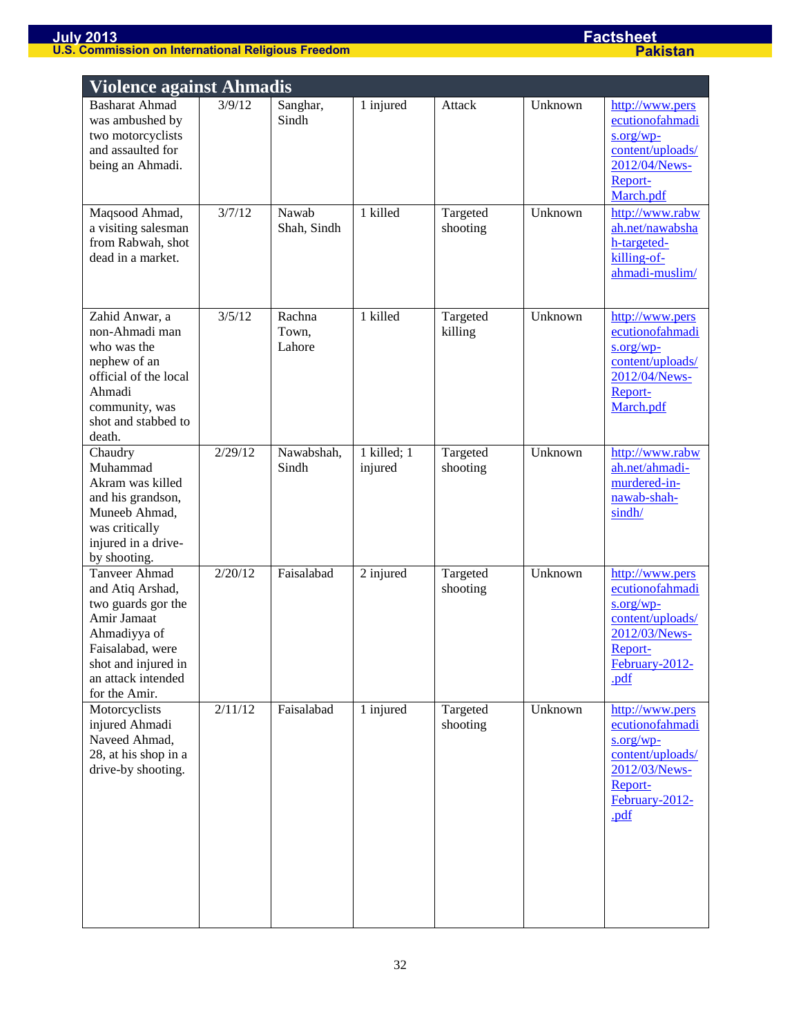|                                                                                                                                                                                 | <b>Violence against Ahmadis</b> |                           |                        |                      |         |                                                                                                                               |  |  |  |
|---------------------------------------------------------------------------------------------------------------------------------------------------------------------------------|---------------------------------|---------------------------|------------------------|----------------------|---------|-------------------------------------------------------------------------------------------------------------------------------|--|--|--|
| <b>Basharat Ahmad</b><br>was ambushed by<br>two motorcyclists<br>and assaulted for<br>being an Ahmadi.                                                                          | 3/9/12                          | Sanghar,<br>Sindh         | 1 injured              | Attack               | Unknown | http://www.pers<br>ecutionofahmadi<br>s.org/wp-<br>content/uploads/<br>2012/04/News-<br>Report-<br>March.pdf                  |  |  |  |
| Maqsood Ahmad,<br>a visiting salesman<br>from Rabwah, shot<br>dead in a market.                                                                                                 | 3/7/12                          | Nawab<br>Shah, Sindh      | 1 killed               | Targeted<br>shooting | Unknown | http://www.rabw<br>ah.net/nawabsha<br>h-targeted-<br>killing-of-<br>ahmadi-muslim/                                            |  |  |  |
| Zahid Anwar, a<br>non-Ahmadi man<br>who was the<br>nephew of an<br>official of the local<br>Ahmadi<br>community, was<br>shot and stabbed to<br>death.                           | 3/5/12                          | Rachna<br>Town,<br>Lahore | 1 killed               | Targeted<br>killing  | Unknown | http://www.pers<br>ecutionofahmadi<br>$s.org/wp-$<br>content/uploads/<br>2012/04/News-<br>Report-<br>March.pdf                |  |  |  |
| Chaudry<br>Muhammad<br>Akram was killed<br>and his grandson,<br>Muneeb Ahmad,<br>was critically<br>injured in a drive-<br>by shooting.                                          | 2/29/12                         | Nawabshah,<br>Sindh       | 1 killed; 1<br>injured | Targeted<br>shooting | Unknown | http://www.rabw<br>ah.net/ahmadi-<br>murdered-in-<br>nawab-shah-<br>sindh/                                                    |  |  |  |
| <b>Tanveer Ahmad</b><br>and Atiq Arshad,<br>two guards gor the<br>Amir Jamaat<br>Ahmadiyya of<br>Faisalabad, were<br>shot and injured in<br>an attack intended<br>for the Amir. | 2/20/12                         | Faisalabad                | 2 injured              | Targeted<br>shooting | Unknown | http://www.pers<br>ecutionofahmadi<br>$s.org/wp-$<br>content/uploads/<br>2012/03/News-<br>Report-<br>$February-2012-$<br>.pdf |  |  |  |
| Motorcyclists<br>injured Ahmadi<br>Naveed Ahmad,<br>28, at his shop in a<br>drive-by shooting.                                                                                  | 2/11/12                         | Faisalabad                | 1 injured              | Targeted<br>shooting | Unknown | http://www.pers<br>ecutionofahmadi<br>$s.org/wp-$<br>content/uploads/<br>2012/03/News-<br>Report-<br>February-2012-<br>.pdf   |  |  |  |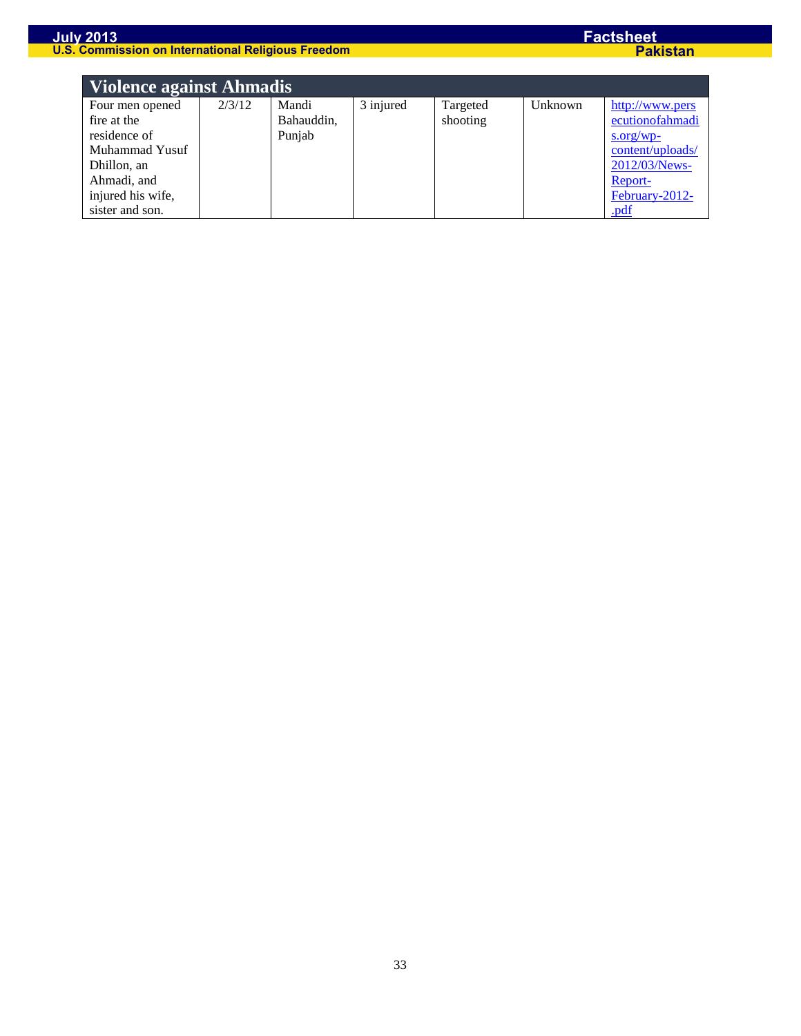| Violence against Ahmadis |        |            |           |          |         |                  |  |  |
|--------------------------|--------|------------|-----------|----------|---------|------------------|--|--|
| Four men opened          | 2/3/12 | Mandi      | 3 injured | Targeted | Unknown | http://www.pers  |  |  |
| fire at the              |        | Bahauddin, |           | shooting |         | ecutionofahmadi  |  |  |
| residence of             |        | Punjab     |           |          |         | $s.org/wp-$      |  |  |
| Muhammad Yusuf           |        |            |           |          |         | content/uploads/ |  |  |
| Dhillon, an              |        |            |           |          |         | 2012/03/News-    |  |  |
| Ahmadi, and              |        |            |           |          |         | Report-          |  |  |
| injured his wife,        |        |            |           |          |         | February-2012-   |  |  |
| sister and son.          |        |            |           |          |         | .pdf             |  |  |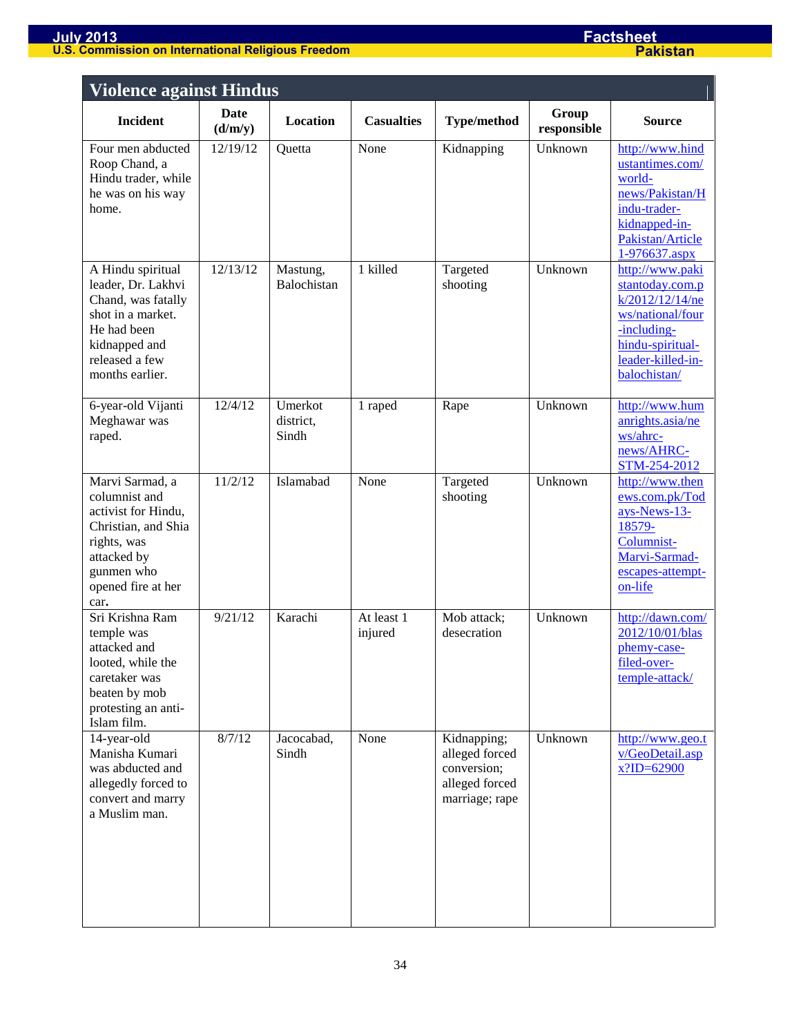| <b>Violence against Hindus</b>                                                                                                                           |                 |                               |                       |                                                                                  |                      |                                                                                                                                                   |  |  |
|----------------------------------------------------------------------------------------------------------------------------------------------------------|-----------------|-------------------------------|-----------------------|----------------------------------------------------------------------------------|----------------------|---------------------------------------------------------------------------------------------------------------------------------------------------|--|--|
| <b>Incident</b>                                                                                                                                          | Date<br>(d/m/y) | Location                      | <b>Casualties</b>     | <b>Type/method</b>                                                               | Group<br>responsible | <b>Source</b>                                                                                                                                     |  |  |
| Four men abducted<br>Roop Chand, a<br>Hindu trader, while<br>he was on his way<br>home.                                                                  | 12/19/12        | Quetta                        | None                  | Kidnapping                                                                       | Unknown              | http://www.hind<br>ustantimes.com/<br>world-<br>news/Pakistan/H<br>indu-trader-<br>kidnapped-in-<br>Pakistan/Article<br>1-976637.aspx             |  |  |
| A Hindu spiritual<br>leader, Dr. Lakhvi<br>Chand, was fatally<br>shot in a market.<br>He had been<br>kidnapped and<br>released a few<br>months earlier.  | 12/13/12        | Mastung,<br>Balochistan       | 1 killed              | Targeted<br>shooting                                                             | Unknown              | http://www.paki<br>stantoday.com.p<br>k/2012/12/14/ne<br>ws/national/four<br>-including-<br>hindu-spiritual-<br>leader-killed-in-<br>balochistan/ |  |  |
| 6-year-old Vijanti<br>Meghawar was<br>raped.                                                                                                             | 12/4/12         | Umerkot<br>district,<br>Sindh | 1 raped               | Rape                                                                             | Unknown              | http://www.hum<br>anrights.asia/ne<br>ws/ahrc-<br>news/AHRC-<br>STM-254-2012                                                                      |  |  |
| Marvi Sarmad, a<br>columnist and<br>activist for Hindu,<br>Christian, and Shia<br>rights, was<br>attacked by<br>gunmen who<br>opened fire at her<br>car. | 11/2/12         | Islamabad                     | None                  | Targeted<br>shooting                                                             | Unknown              | http://www.then<br>ews.com.pk/Tod<br>ays-News-13-<br>18579-<br>Columnist-<br>Marvi-Sarmad-<br>escapes-attempt-<br>on-life                         |  |  |
| Sri Krishna Ram<br>temple was<br>attacked and<br>looted, while the<br>caretaker was<br>beaten by mob<br>protesting an anti-<br>Islam film.               | 9/21/12         | Karachi                       | At least 1<br>injured | Mob attack;<br>desecration                                                       | Unknown              | http://dawn.com/<br>2012/10/01/blas<br>phemy-case-<br>filed-over-<br>temple-attack/                                                               |  |  |
| 14-year-old<br>Manisha Kumari<br>was abducted and<br>allegedly forced to<br>convert and marry<br>a Muslim man.                                           | 8/7/12          | Jacocabad,<br>Sindh           | None                  | Kidnapping;<br>alleged forced<br>conversion;<br>alleged forced<br>marriage; rape | Unknown              | http://www.geo.t<br>v/GeoDetail.asp<br>$x$ ?ID=62900                                                                                              |  |  |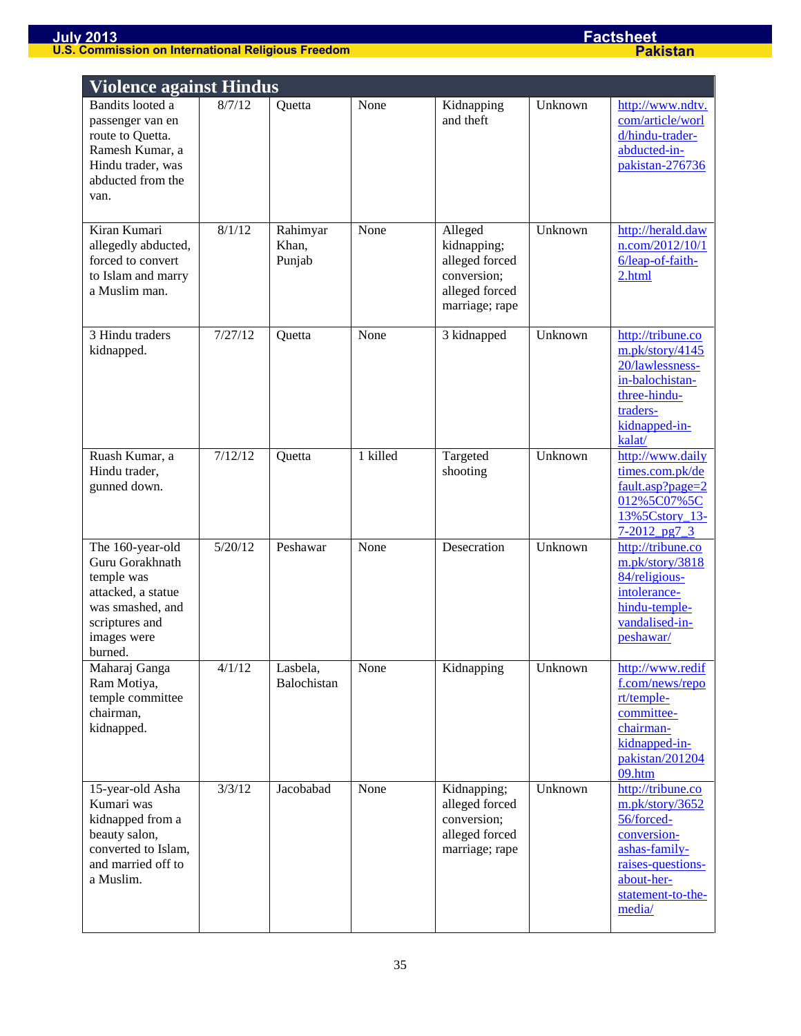| <b>Violence against Hindus</b>                                                                                                          |         |                             |          |                                                                                             |         |                                                                                                                                                      |
|-----------------------------------------------------------------------------------------------------------------------------------------|---------|-----------------------------|----------|---------------------------------------------------------------------------------------------|---------|------------------------------------------------------------------------------------------------------------------------------------------------------|
| Bandits looted a<br>passenger van en<br>route to Quetta.<br>Ramesh Kumar, a<br>Hindu trader, was<br>abducted from the<br>van.           | 8/7/12  | Quetta                      | None     | Kidnapping<br>and theft                                                                     | Unknown | http://www.ndtv.<br>com/article/worl<br>d/hindu-trader-<br>abducted-in-<br>pakistan-276736                                                           |
| Kiran Kumari<br>allegedly abducted,<br>forced to convert<br>to Islam and marry<br>a Muslim man.                                         | 8/1/12  | Rahimyar<br>Khan,<br>Punjab | None     | Alleged<br>kidnapping;<br>alleged forced<br>conversion;<br>alleged forced<br>marriage; rape | Unknown | http://herald.daw<br>n.com/2012/10/1<br>6/leap-of-faith-<br>2.html                                                                                   |
| 3 Hindu traders<br>kidnapped.                                                                                                           | 7/27/12 | Quetta                      | None     | 3 kidnapped                                                                                 | Unknown | http://tribune.co<br>m.pk/story/4145<br>20/lawlessness-<br>in-balochistan-<br>three-hindu-<br>traders-<br>kidnapped-in-<br>kalat/                    |
| Ruash Kumar, a<br>Hindu trader,<br>gunned down.                                                                                         | 7/12/12 | Quetta                      | 1 killed | Targeted<br>shooting                                                                        | Unknown | http://www.daily<br>times.com.pk/de<br>$fault. asp? page = 2$<br>012%5C07%5C<br>13%5Cstory_13-<br>$7 - 2012$ pg7 3                                   |
| The 160-year-old<br>Guru Gorakhnath<br>temple was<br>attacked, a statue<br>was smashed, and<br>scriptures and<br>images were<br>burned. | 5/20/12 | Peshawar                    | None     | Desecration                                                                                 | Unknown | http://tribune.co<br>m.pk/story/3818<br>84/religious-<br>intolerance-<br>hindu-temple-<br>vandalised-in-<br>peshawar/                                |
| Maharaj Ganga<br>Ram Motiya,<br>temple committee<br>chairman,<br>kidnapped.                                                             | 4/1/12  | Lasbela,<br>Balochistan     | None     | Kidnapping                                                                                  | Unknown | http://www.redif<br>f.com/news/repo<br>rt/temple-<br>committee-<br>chairman-<br>kidnapped-in-<br>pakistan/201204<br>09.htm                           |
| 15-year-old Asha<br>Kumari was<br>kidnapped from a<br>beauty salon,<br>converted to Islam,<br>and married off to<br>a Muslim.           | 3/3/12  | Jacobabad                   | None     | Kidnapping;<br>alleged forced<br>conversion;<br>alleged forced<br>marriage; rape            | Unknown | http://tribune.co<br>m.pk/story/3652<br>56/forced-<br>conversion-<br>ashas-family-<br>raises-questions-<br>about-her-<br>statement-to-the-<br>media/ |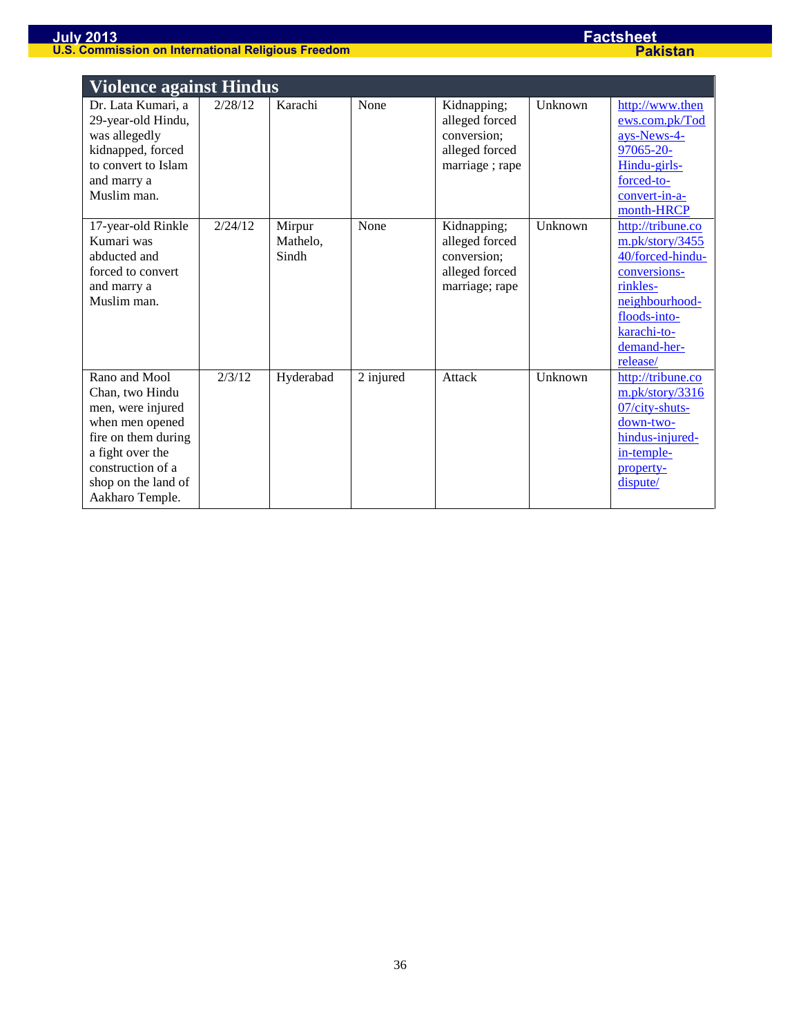|                                                                                                                                                                                    | <b>Violence against Hindus</b> |                             |           |                                                                                  |         |                                                                                                                                                                  |  |  |  |
|------------------------------------------------------------------------------------------------------------------------------------------------------------------------------------|--------------------------------|-----------------------------|-----------|----------------------------------------------------------------------------------|---------|------------------------------------------------------------------------------------------------------------------------------------------------------------------|--|--|--|
| Dr. Lata Kumari, a<br>29-year-old Hindu,<br>was allegedly<br>kidnapped, forced<br>to convert to Islam<br>and marry a<br>Muslim man.                                                | 2/28/12                        | Karachi                     | None      | Kidnapping;<br>alleged forced<br>conversion;<br>alleged forced<br>marriage; rape | Unknown | http://www.then<br>ews.com.pk/Tod<br>ays-News-4-<br>97065-20-<br>Hindu-girls-<br>forced-to-<br>convert-in-a-<br>month-HRCP                                       |  |  |  |
| 17-year-old Rinkle<br>Kumari was<br>abducted and<br>forced to convert<br>and marry a<br>Muslim man.                                                                                | 2/24/12                        | Mirpur<br>Mathelo,<br>Sindh | None      | Kidnapping;<br>alleged forced<br>conversion;<br>alleged forced<br>marriage; rape | Unknown | http://tribune.co<br>m.pk/story/3455<br>40/forced-hindu-<br>conversions-<br>rinkles-<br>neighbourhood-<br>floods-into-<br>karachi-to-<br>demand-her-<br>release/ |  |  |  |
| Rano and Mool<br>Chan, two Hindu<br>men, were injured<br>when men opened<br>fire on them during<br>a fight over the<br>construction of a<br>shop on the land of<br>Aakharo Temple. | 2/3/12                         | Hyderabad                   | 2 injured | Attack                                                                           | Unknown | http://tribune.co<br>m.pk/story/3316<br>$07/city$ -shuts-<br>down-two-<br>hindus-injured-<br>in-temple-<br>property-<br>dispute/                                 |  |  |  |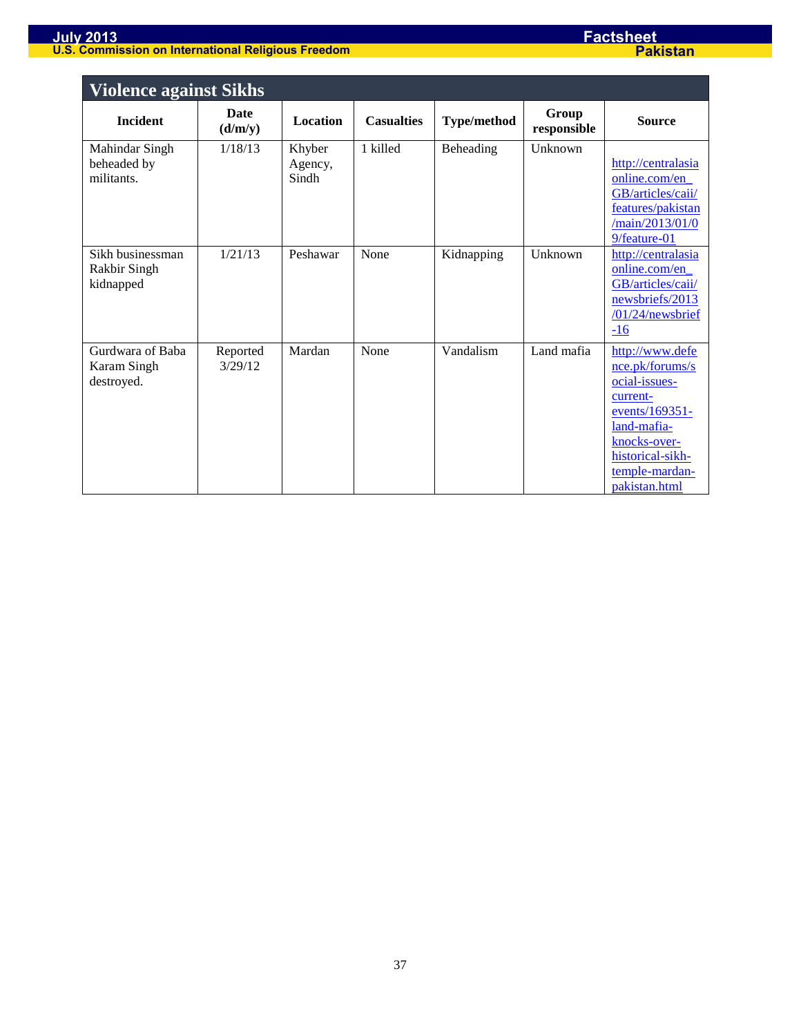| <b>Violence against Sikhs</b>                 |                        |                            |                   |                    |                      |                                                                                                                                                                         |
|-----------------------------------------------|------------------------|----------------------------|-------------------|--------------------|----------------------|-------------------------------------------------------------------------------------------------------------------------------------------------------------------------|
| <b>Incident</b>                               | <b>Date</b><br>(d/m/y) | <b>Location</b>            | <b>Casualties</b> | <b>Type/method</b> | Group<br>responsible | <b>Source</b>                                                                                                                                                           |
| Mahindar Singh<br>beheaded by<br>militants.   | 1/18/13                | Khyber<br>Agency,<br>Sindh | 1 killed          | Beheading          | Unknown              | http://centralasia<br>online.com/en_<br>GB/articles/caii/<br>features/pakistan<br>/main/2013/01/0<br>9/feature-01                                                       |
| Sikh businessman<br>Rakbir Singh<br>kidnapped | 1/21/13                | Peshawar                   | None              | Kidnapping         | Unknown              | http://centralasia<br>online.com/en<br>GB/articles/caii/<br>newsbriefs/2013<br>$/01/24$ /newsbrief<br>$-16$                                                             |
| Gurdwara of Baba<br>Karam Singh<br>destroyed. | Reported<br>3/29/12    | Mardan                     | None              | Vandalism          | Land mafia           | http://www.defe<br>nce.pk/forums/s<br>ocial-issues-<br>current-<br>events/169351-<br>land-mafia-<br>knocks-over-<br>historical-sikh-<br>temple-mardan-<br>pakistan.html |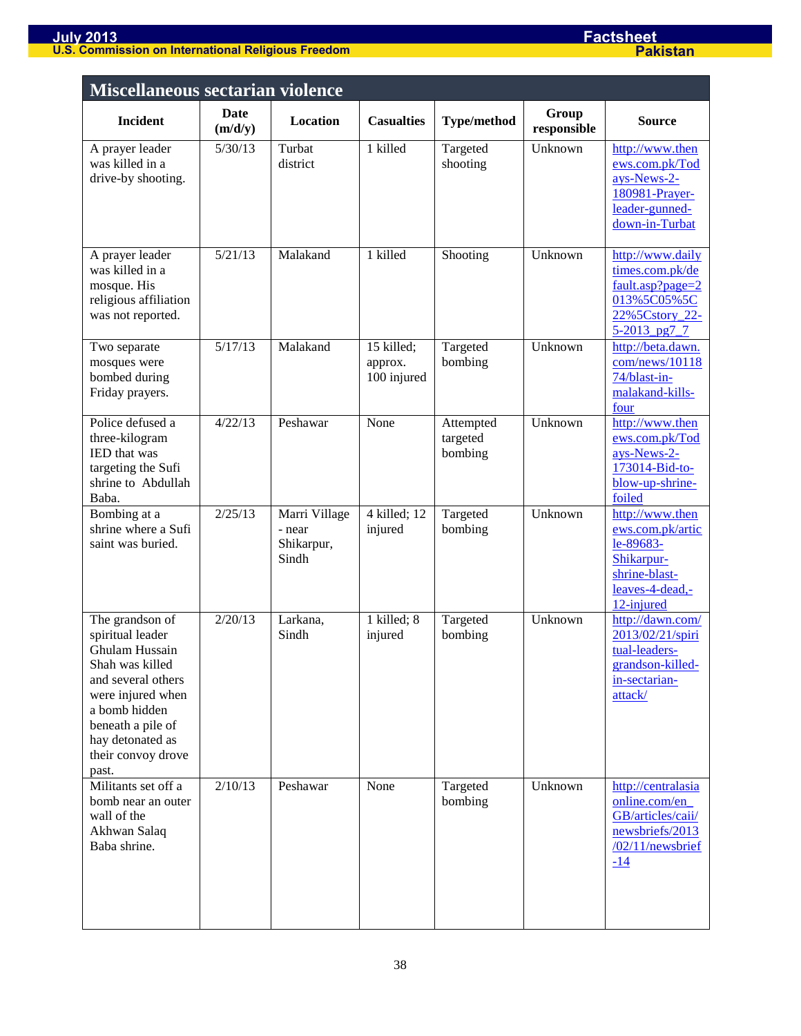| <b>Miscellaneous sectarian violence</b>                                                                                                                                                                      |                 |                                                |                                      |                                  |                      |                                                                                                                  |
|--------------------------------------------------------------------------------------------------------------------------------------------------------------------------------------------------------------|-----------------|------------------------------------------------|--------------------------------------|----------------------------------|----------------------|------------------------------------------------------------------------------------------------------------------|
| <b>Incident</b>                                                                                                                                                                                              | Date<br>(m/d/y) | Location                                       | <b>Casualties</b>                    | <b>Type/method</b>               | Group<br>responsible | <b>Source</b>                                                                                                    |
| A prayer leader<br>was killed in a<br>drive-by shooting.                                                                                                                                                     | 5/30/13         | Turbat<br>district                             | 1 killed                             | Targeted<br>shooting             | Unknown              | http://www.then<br>ews.com.pk/Tod<br>ays-News-2-<br>180981-Prayer-<br>leader-gunned-<br>down-in-Turbat           |
| A prayer leader<br>was killed in a<br>mosque. His<br>religious affiliation<br>was not reported.                                                                                                              | 5/21/13         | Malakand                                       | 1 killed                             | Shooting                         | Unknown              | http://www.daily<br>times.com.pk/de<br>fault.asp?page=2<br>013%5C05%5C<br>22%5Cstory 22-<br>$5 - 2013$ pg7 7     |
| Two separate<br>mosques were<br>bombed during<br>Friday prayers.                                                                                                                                             | 5/17/13         | Malakand                                       | 15 killed;<br>approx.<br>100 injured | Targeted<br>bombing              | Unknown              | http://beta.dawn.<br>com/news/10118<br>74/blast-in-<br>malakand-kills-<br>four                                   |
| Police defused a<br>three-kilogram<br>IED that was<br>targeting the Sufi<br>shrine to Abdullah<br>Baba.                                                                                                      | 4/22/13         | Peshawar                                       | None                                 | Attempted<br>targeted<br>bombing | Unknown              | http://www.then<br>ews.com.pk/Tod<br>ays-News-2-<br>173014-Bid-to-<br>blow-up-shrine-<br>foiled                  |
| Bombing at a<br>shrine where a Sufi<br>saint was buried.                                                                                                                                                     | 2/25/13         | Marri Village<br>- near<br>Shikarpur,<br>Sindh | $4$ killed; 12<br>injured            | Targeted<br>bombing              | Unknown              | http://www.then<br>ews.com.pk/artic<br>le-89683-<br>Shikarpur-<br>shrine-blast-<br>leaves-4-dead,-<br>12-injured |
| The grandson of<br>spiritual leader<br>Ghulam Hussain<br>Shah was killed<br>and several others<br>were injured when<br>a bomb hidden<br>beneath a pile of<br>hay detonated as<br>their convoy drove<br>past. | 2/20/13         | Larkana,<br>Sindh                              | 1 killed; 8<br>injured               | Targeted<br>bombing              | Unknown              | http://dawn.com/<br>2013/02/21/spiri<br>tual-leaders-<br>grandson-killed-<br>in-sectarian-<br>attack/            |
| Militants set off a<br>bomb near an outer<br>wall of the<br>Akhwan Salaq<br>Baba shrine.                                                                                                                     | 2/10/13         | Peshawar                                       | None                                 | Targeted<br>bombing              | Unknown              | http://centralasia<br>online.com/en<br>GB/articles/caii/<br>newsbriefs/2013<br>/02/11/newsbrief<br>$-14$         |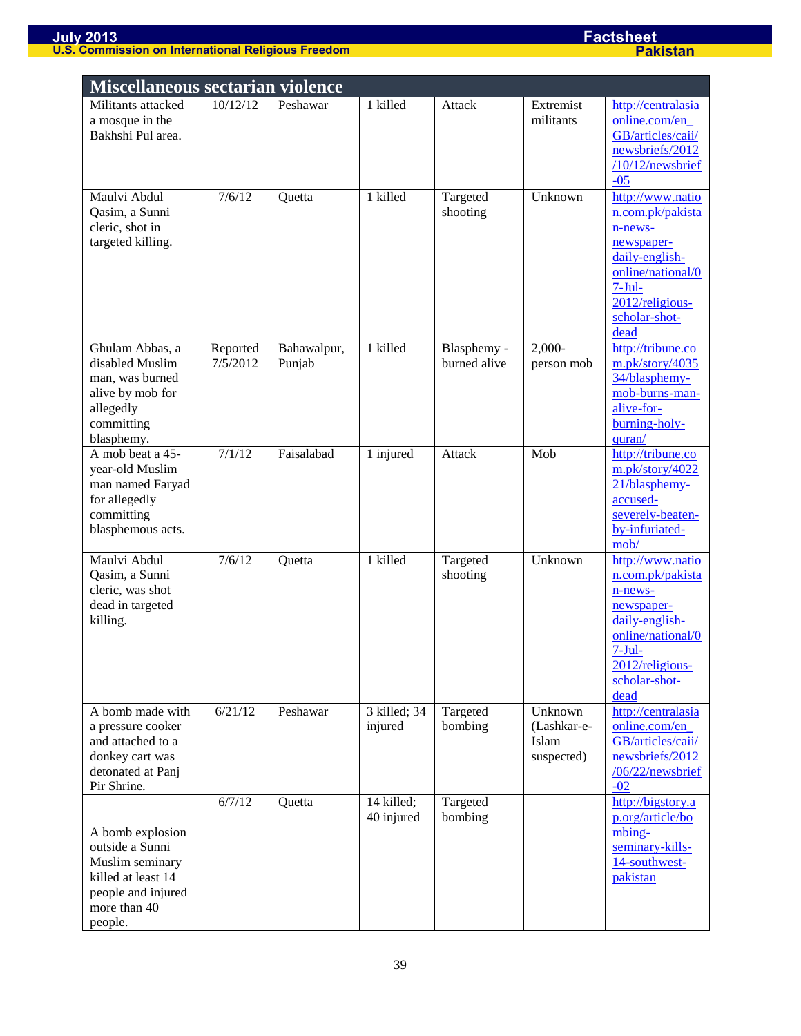| <b>Miscellaneous sectarian violence</b>                                                                                       |                      |                       |                          |                             |                                               |                                                                                                                                                              |  |
|-------------------------------------------------------------------------------------------------------------------------------|----------------------|-----------------------|--------------------------|-----------------------------|-----------------------------------------------|--------------------------------------------------------------------------------------------------------------------------------------------------------------|--|
| Militants attacked<br>a mosque in the<br>Bakhshi Pul area.                                                                    | 10/12/12             | Peshawar              | 1 killed                 | Attack                      | Extremist<br>militants                        | http://centralasia<br>online.com/en<br>GB/articles/caii/<br>newsbriefs/2012<br>$/10/12$ /newsbrief<br>$-05$                                                  |  |
| Maulvi Abdul<br>Qasim, a Sunni<br>cleric, shot in<br>targeted killing.                                                        | 7/6/12               | Quetta                | 1 killed                 | Targeted<br>shooting        | Unknown                                       | http://www.natio<br>n.com.pk/pakista<br>n-news-<br>newspaper-<br>daily-english-<br>online/national/0<br>$7-Jul-$<br>2012/religious-<br>scholar-shot-<br>dead |  |
| Ghulam Abbas, a<br>disabled Muslim<br>man, was burned<br>alive by mob for<br>allegedly<br>committing<br>blasphemy.            | Reported<br>7/5/2012 | Bahawalpur,<br>Punjab | 1 killed                 | Blasphemy -<br>burned alive | $2,000-$<br>person mob                        | http://tribune.co<br>m.pk/story/4035<br>34/blasphemy-<br>mob-burns-man-<br>alive-for-<br>burning-holy-<br>quran/                                             |  |
| A mob beat a 45-<br>year-old Muslim<br>man named Faryad<br>for allegedly<br>committing<br>blasphemous acts.                   | 7/1/12               | Faisalabad            | 1 injured                | Attack                      | Mob                                           | http://tribune.co<br>m.pk/story/4022<br>21/blasphemy-<br>accused-<br>severely-beaten-<br>by-infuriated-<br>mob/                                              |  |
| Maulvi Abdul<br>Qasim, a Sunni<br>cleric, was shot<br>dead in targeted<br>killing.                                            | 7/6/12               | Quetta                | 1 killed                 | Targeted<br>shooting        | Unknown                                       | http://www.natio<br>n.com.pk/pakista<br>n-news-<br>newspaper-<br>daily-english-<br>online/national/0<br>$7-Jul$<br>2012/religious-<br>scholar-shot-<br>dead  |  |
| A bomb made with<br>a pressure cooker<br>and attached to a<br>donkey cart was<br>detonated at Panj<br>Pir Shrine.             | 6/21/12              | Peshawar              | 3 killed; 34<br>injured  | Targeted<br>bombing         | Unknown<br>(Lashkar-e-<br>Islam<br>suspected) | http://centralasia<br>online.com/en_<br>GB/articles/caii/<br>newsbriefs/2012<br>/06/22/newsbrief<br>$-02$                                                    |  |
| A bomb explosion<br>outside a Sunni<br>Muslim seminary<br>killed at least 14<br>people and injured<br>more than 40<br>people. | 6/7/12               | Quetta                | 14 killed;<br>40 injured | Targeted<br>bombing         |                                               | http://bigstory.a<br>p.org/article/bo<br>mbing-<br>seminary-kills-<br>14-southwest-<br>pakistan                                                              |  |